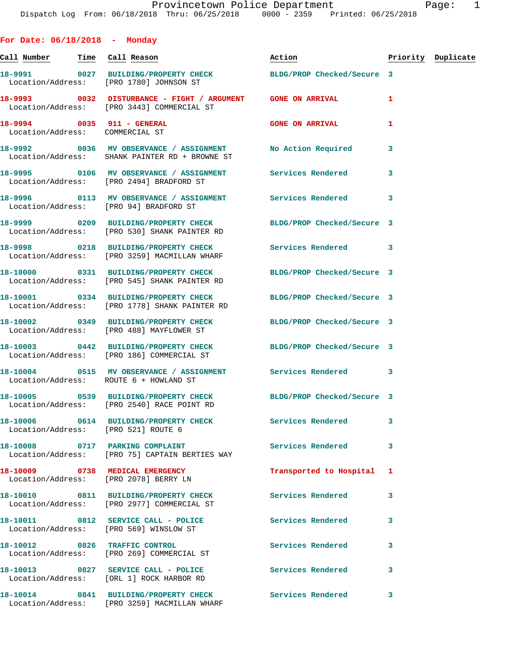**For Date: 06/18/2018 - Monday Call Number Time Call Reason Action Priority Duplicate 18-9991 0027 BUILDING/PROPERTY CHECK BLDG/PROP Checked/Secure 3**  Location/Address: [PRO 1780] JOHNSON ST **18-9993 0032 DISTURBANCE - FIGHT / ARGUMENT GONE ON ARRIVAL 1**  Location/Address: [PRO 3443] COMMERCIAL ST **18-9994 0035 911 - GENERAL GONE ON ARRIVAL 1**  Location/Address: COMMERCIAL ST **18-9992 0036 MV OBSERVANCE / ASSIGNMENT No Action Required 3**  Location/Address: SHANK PAINTER RD + BROWNE ST **18-9995 0106 MV OBSERVANCE / ASSIGNMENT Services Rendered 3**  Location/Address: [PRO 2494] BRADFORD ST **18-9996 0113 MV OBSERVANCE / ASSIGNMENT Services Rendered 3**  Location/Address: [PRO 94] BRADFORD ST **18-9999 0209 BUILDING/PROPERTY CHECK BLDG/PROP Checked/Secure 3**  Location/Address: [PRO 530] SHANK PAINTER RD **18-9998 0218 BUILDING/PROPERTY CHECK Services Rendered 3**  Location/Address: [PRO 3259] MACMILLAN WHARF **18-10000 0331 BUILDING/PROPERTY CHECK BLDG/PROP Checked/Secure 3**  Location/Address: [PRO 545] SHANK PAINTER RD **18-10001 0334 BUILDING/PROPERTY CHECK BLDG/PROP Checked/Secure 3**  Location/Address: [PRO 1778] SHANK PAINTER RD **18-10002 0349 BUILDING/PROPERTY CHECK BLDG/PROP Checked/Secure 3**  Location/Address: [PRO 488] MAYFLOWER ST **18-10003 0442 BUILDING/PROPERTY CHECK BLDG/PROP Checked/Secure 3**  Location/Address: [PRO 186] COMMERCIAL ST **18-10004 0515 MV OBSERVANCE / ASSIGNMENT Services Rendered 3**  Location/Address: ROUTE 6 + HOWLAND ST **18-10005 0539 BUILDING/PROPERTY CHECK BLDG/PROP Checked/Secure 3**  Location/Address: [PRO 2540] RACE POINT RD **18-10006 0614 BUILDING/PROPERTY CHECK Services Rendered 3**  Location/Address: [PRO 521] ROUTE 6 18-10008 0717 PARKING COMPLAINT **Services Rendered** 3 Location/Address: [PRO 75] CAPTAIN BERTIES WAY **18-10009 0738 MEDICAL EMERGENCY Transported to Hospital 1**  Location/Address: [PRO 2078] BERRY LN **18-10010 0811 BUILDING/PROPERTY CHECK Services Rendered 3**  Location/Address: [PRO 2977] COMMERCIAL ST **18-10011 0812 SERVICE CALL - POLICE Services Rendered 3**  Location/Address: [PRO 569] WINSLOW ST **18-10012 0826 TRAFFIC CONTROL Services Rendered 3**  Location/Address: [PRO 269] COMMERCIAL ST

18-10013 0827 SERVICE CALL - POLICE 3 Services Rendered 3 Location/Address: [ORL 1] ROCK HARBOR RD

**18-10014 0841 BUILDING/PROPERTY CHECK Services Rendered 3**  Location/Address: [PRO 3259] MACMILLAN WHARF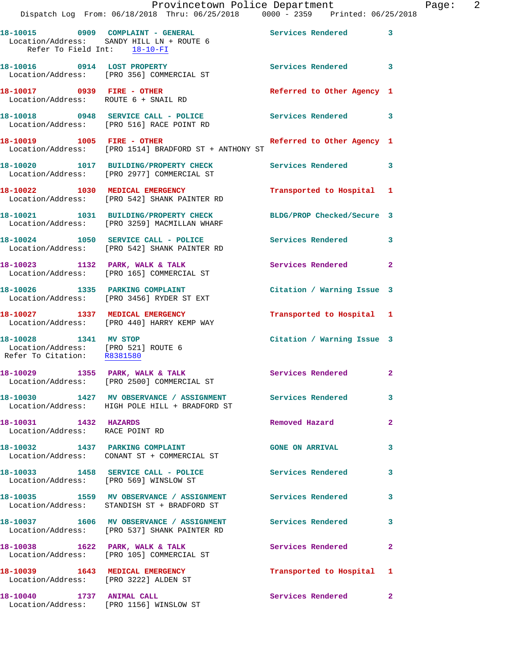|                                                                                             | Provincetown Police Department<br>Dispatch Log From: 06/18/2018 Thru: 06/25/2018 0000 - 2359 Printed: 06/25/2018 |                            | Page: 2      |
|---------------------------------------------------------------------------------------------|------------------------------------------------------------------------------------------------------------------|----------------------------|--------------|
| Refer To Field Int: 18-10-FI                                                                | 18-10015 0909 COMPLAINT - GENERAL Services Rendered 3<br>Location/Address: SANDY HILL LN + ROUTE 6               |                            |              |
|                                                                                             | 18-10016 0914 LOST PROPERTY<br>Location/Address: [PRO 356] COMMERCIAL ST                                         | Services Rendered 3        |              |
| 18-10017 0939 FIRE - OTHER                                                                  | Location/Address: ROUTE 6 + SNAIL RD                                                                             | Referred to Other Agency 1 |              |
|                                                                                             | 18-10018 0948 SERVICE CALL - POLICE Services Rendered 3<br>Location/Address: [PRO 516] RACE POINT RD             |                            |              |
|                                                                                             | 18-10019 1005 FIRE - OTHER Referred to Other Agency 1<br>Location/Address: [PRO 1514] BRADFORD ST + ANTHONY ST   |                            |              |
|                                                                                             | 18-10020 1017 BUILDING/PROPERTY CHECK Services Rendered 3<br>Location/Address: [PRO 2977] COMMERCIAL ST          |                            |              |
|                                                                                             | 18-10022 1030 MEDICAL EMERGENCY<br>Location/Address: [PRO 542] SHANK PAINTER RD                                  | Transported to Hospital 1  |              |
|                                                                                             | 18-10021 1031 BUILDING/PROPERTY CHECK BLDG/PROP Checked/Secure 3<br>Location/Address: [PRO 3259] MACMILLAN WHARF |                            |              |
|                                                                                             | 18-10024 1050 SERVICE CALL - POLICE 3 Services Rendered 3<br>Location/Address: [PRO 542] SHANK PAINTER RD        |                            |              |
|                                                                                             | 18-10023 1132 PARK, WALK & TALK<br>Location/Address: [PRO 165] COMMERCIAL ST                                     | Services Rendered 2        |              |
|                                                                                             | 18-10026 1335 PARKING COMPLAINT<br>Location/Address: [PRO 3456] RYDER ST EXT                                     | Citation / Warning Issue 3 |              |
|                                                                                             | 18-10027 1337 MEDICAL EMERGENCY<br>Location/Address: [PRO 440] HARRY KEMP WAY                                    | Transported to Hospital 1  |              |
| 18-10028 1341 MV STOP<br>Location/Address: [PRO 521] ROUTE 6<br>Refer To Citation: R8381580 |                                                                                                                  | Citation / Warning Issue 3 |              |
|                                                                                             | 18-10029 1355 PARK, WALK & TALK Services Rendered 2<br>Location/Address: [PRO 2500] COMMERCIAL ST                |                            |              |
|                                                                                             | 18-10030 1427 MV OBSERVANCE / ASSIGNMENT Services Rendered 3<br>Location/Address: HIGH POLE HILL + BRADFORD ST   |                            |              |
| 18-10031 1432 HAZARDS<br>Location/Address: RACE POINT RD                                    |                                                                                                                  | Removed Hazard             | $\mathbf{2}$ |
|                                                                                             | 18-10032 1437 PARKING COMPLAINT<br>Location/Address: CONANT ST + COMMERCIAL ST                                   | GONE ON ARRIVAL 3          |              |
|                                                                                             | 18-10033 1458 SERVICE CALL - POLICE<br>Location/Address: [PRO 569] WINSLOW ST                                    | Services Rendered 3        |              |
|                                                                                             | 18-10035 1559 MV OBSERVANCE / ASSIGNMENT Services Rendered<br>Location/Address: STANDISH ST + BRADFORD ST        |                            | $\mathbf{3}$ |
|                                                                                             | 18-10037 1606 MV OBSERVANCE / ASSIGNMENT Services Rendered 3<br>Location/Address: [PRO 537] SHANK PAINTER RD     |                            |              |
|                                                                                             | 18-10038 1622 PARK, WALK & TALK<br>Location/Address: [PRO 105] COMMERCIAL ST                                     | Services Rendered          | $\mathbf{2}$ |
|                                                                                             | 18-10039 1643 MEDICAL EMERGENCY<br>Location/Address: [PRO 3222] ALDEN ST                                         | Transported to Hospital 1  |              |
| 18-10040 1737 ANIMAL CALL                                                                   | Location/Address: [PRO 1156] WINSLOW ST                                                                          | Services Rendered 2        |              |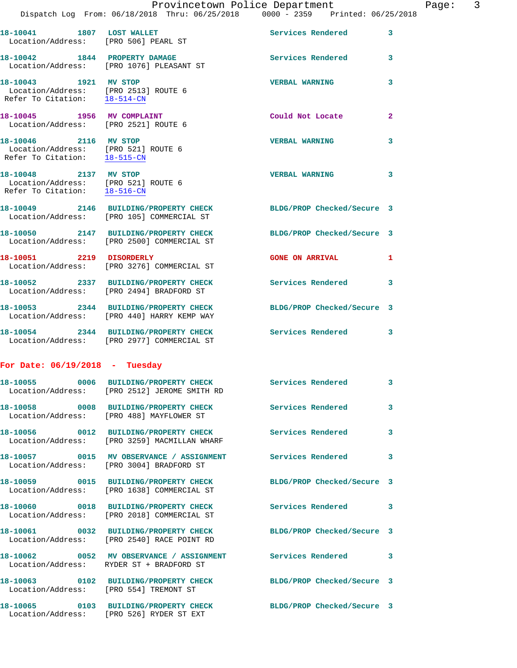|                                  |                                                                                                               | Provincetown Police Department |              | Page: | 3 |
|----------------------------------|---------------------------------------------------------------------------------------------------------------|--------------------------------|--------------|-------|---|
|                                  | Dispatch Log From: 06/18/2018 Thru: 06/25/2018 0000 - 2359 Printed: 06/25/2018                                |                                |              |       |   |
|                                  | 18-10041 1807 LOST WALLET<br>Location/Address: [PRO 506] PEARL ST                                             | Services Rendered 3            |              |       |   |
|                                  | 18-10042 1844 PROPERTY DAMAGE<br>Location/Address: [PRO 1076] PLEASANT ST                                     | Services Rendered 3            |              |       |   |
|                                  | 18-10043 1921 MV STOP<br>Location/Address: [PRO 2513] ROUTE 6<br>Refer To Citation: $\frac{18-514-CN}{28}$    | <b>VERBAL WARNING</b>          | 3            |       |   |
|                                  | 18-10045 1956 MV COMPLAINT<br>Location/Address: [PRO 2521] ROUTE 6                                            | Could Not Locate               | $\mathbf{2}$ |       |   |
| Refer To Citation: 18-515-CN     | 18-10046 2116 MV STOP<br>Location/Address: [PRO 521] ROUTE 6                                                  | <b>VERBAL WARNING</b>          | 3            |       |   |
| Refer To Citation: 18-516-CN     | 18-10048 2137 MV STOP<br>Location/Address: [PRO 521] ROUTE 6                                                  | <b>VERBAL WARNING</b>          | 3            |       |   |
|                                  | 18-10049 2146 BUILDING/PROPERTY CHECK BLDG/PROP Checked/Secure 3<br>Location/Address: [PRO 105] COMMERCIAL ST |                                |              |       |   |
|                                  | 18-10050 2147 BUILDING/PROPERTY CHECK<br>Location/Address: [PRO 2500] COMMERCIAL ST                           | BLDG/PROP Checked/Secure 3     |              |       |   |
| 18-10051 2219 DISORDERLY         | Location/Address: [PRO 3276] COMMERCIAL ST                                                                    | <b>GONE ON ARRIVAL</b>         | $\mathbf{1}$ |       |   |
|                                  | 18-10052 2337 BUILDING/PROPERTY CHECK<br>Location/Address: [PRO 2494] BRADFORD ST                             | <b>Services Rendered</b>       | $\mathbf{3}$ |       |   |
|                                  | 18-10053 2344 BUILDING/PROPERTY CHECK<br>Location/Address: [PRO 440] HARRY KEMP WAY                           | BLDG/PROP Checked/Secure 3     |              |       |   |
|                                  | 18-10054 2344 BUILDING/PROPERTY CHECK Services Rendered 3<br>Location/Address: [PRO 2977] COMMERCIAL ST       |                                |              |       |   |
| For Date: $06/19/2018$ - Tuesday |                                                                                                               |                                |              |       |   |
|                                  | 18-10055 0006 BUILDING/PROPERTY CHECK<br>Location/Address: [PRO 2512] JEROME SMITH RD                         | <b>Services Rendered</b>       | 3            |       |   |
|                                  | 18-10058 0008 BUILDING/PROPERTY CHECK<br>Location/Address: [PRO 488] MAYFLOWER ST                             | Services Rendered              | 3            |       |   |
|                                  | 18-10056 0012 BUILDING/PROPERTY CHECK<br>Location/Address: [PRO 3259] MACMILLAN WHARF                         | <b>Services Rendered</b>       | 3            |       |   |
| 18-10057                         | 0015 MV OBSERVANCE / ASSIGNMENT                                                                               | <b>Services Rendered</b>       | 3            |       |   |

|                                        | Location/Address: [PRO 2512] JEROME SMITH RD                                                                   | services kendered          | -3-                     |
|----------------------------------------|----------------------------------------------------------------------------------------------------------------|----------------------------|-------------------------|
|                                        | 18-10058 0008 BUILDING/PROPERTY CHECK<br>Location/Address: [PRO 488] MAYFLOWER ST                              | <b>Services Rendered</b>   | $\overline{\mathbf{3}}$ |
|                                        | 18-10056 0012 BUILDING/PROPERTY CHECK<br>Location/Address: [PRO 3259] MACMILLAN WHARF                          | <b>Services Rendered</b>   | 3                       |
|                                        | Location/Address: [PRO 3004] BRADFORD ST                                                                       |                            | $\overline{\mathbf{3}}$ |
|                                        | 18-10059 0015 BUILDING/PROPERTY CHECK<br>Location/Address: [PRO 1638] COMMERCIAL ST                            | BLDG/PROP Checked/Secure 3 |                         |
|                                        | 18-10060 0018 BUILDING/PROPERTY CHECK Services Rendered 3<br>Location/Address: [PRO 2018] COMMERCIAL ST        |                            |                         |
|                                        | 18-10061 0032 BUILDING/PROPERTY CHECK BLDG/PROP Checked/Secure 3<br>Location/Address: [PRO 2540] RACE POINT RD |                            |                         |
|                                        | 18-10062 		 0052 	 MV OBSERVANCE / ASSIGNMENT Services Rendered 3<br>Location/Address: RYDER ST + BRADFORD ST  |                            |                         |
| Location/Address: [PRO 554] TREMONT ST | 18-10063 0102 BUILDING/PROPERTY CHECK BLDG/PROP Checked/Secure 3                                               |                            |                         |
|                                        | 18-10065 0103 BUILDING/PROPERTY CHECK<br>Location/Address: [PRO 526] RYDER ST EXT                              | BLDG/PROP Checked/Secure 3 |                         |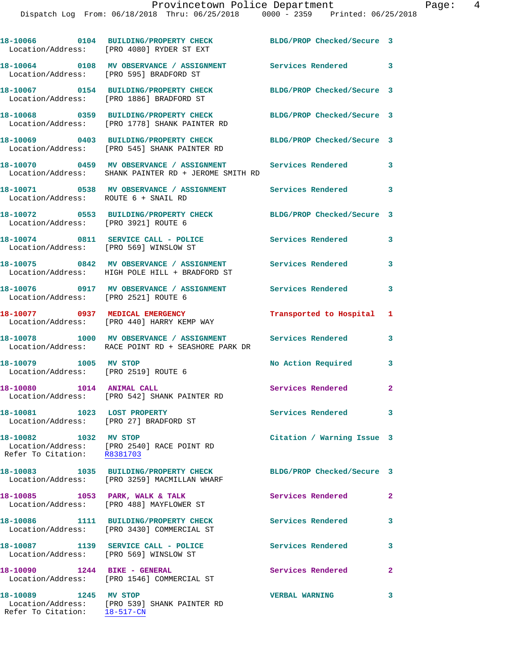|                                                                       | 18-10066 0104 BUILDING/PROPERTY CHECK<br>Location/Address: [PRO 4080] RYDER ST EXT                                 | BLDG/PROP Checked/Secure 3 |                |
|-----------------------------------------------------------------------|--------------------------------------------------------------------------------------------------------------------|----------------------------|----------------|
|                                                                       | 18-10064 0108 MV OBSERVANCE / ASSIGNMENT Services Rendered 3<br>Location/Address: [PRO 595] BRADFORD ST            |                            |                |
|                                                                       | 18-10067 0154 BUILDING/PROPERTY CHECK<br>Location/Address: [PRO 1886] BRADFORD ST                                  | BLDG/PROP Checked/Secure 3 |                |
|                                                                       | 18-10068 0359 BUILDING/PROPERTY CHECK<br>Location/Address: [PRO 1778] SHANK PAINTER RD                             | BLDG/PROP Checked/Secure 3 |                |
|                                                                       | 18-10069 0403 BUILDING/PROPERTY CHECK BLDG/PROP Checked/Secure 3<br>Location/Address: [PRO 545] SHANK PAINTER RD   |                            |                |
|                                                                       | 18-10070 0459 MV OBSERVANCE / ASSIGNMENT Services Rendered<br>Location/Address: SHANK PAINTER RD + JEROME SMITH RD |                            | 3              |
| Location/Address: ROUTE 6 + SNAIL RD                                  | 18-10071 0538 MV OBSERVANCE / ASSIGNMENT Services Rendered                                                         |                            | 3              |
| Location/Address: [PRO 3921] ROUTE 6                                  | 18-10072 0553 BUILDING/PROPERTY CHECK                                                                              | BLDG/PROP Checked/Secure 3 |                |
| Location/Address: [PRO 569] WINSLOW ST                                | 18-10074 0811 SERVICE CALL - POLICE                                                                                | Services Rendered          | 3              |
|                                                                       | 18-10075 0842 MV OBSERVANCE / ASSIGNMENT Services Rendered<br>Location/Address: HIGH POLE HILL + BRADFORD ST       |                            | 3              |
| Location/Address: [PRO 2521] ROUTE 6                                  | 18-10076 0917 MV OBSERVANCE / ASSIGNMENT Services Rendered                                                         |                            | 3              |
|                                                                       | 18-10077 0937 MEDICAL EMERGENCY<br>Location/Address: [PRO 440] HARRY KEMP WAY                                      | Transported to Hospital 1  |                |
|                                                                       | 18-10078 1000 MV OBSERVANCE / ASSIGNMENT Services Rendered<br>Location/Address: RACE POINT RD + SEASHORE PARK DR   |                            | 3              |
| 18-10079 1005 MV STOP<br>Location/Address: [PRO 2519] ROUTE 6         |                                                                                                                    | No Action Required         | 3              |
| 18-10080 1014 ANIMAL CALL                                             | Location/Address: [PRO 542] SHANK PAINTER RD                                                                       | Services Rendered          | $\mathbf{2}$   |
| 18-10081 1023 LOST PROPERTY<br>Location/Address: [PRO 27] BRADFORD ST |                                                                                                                    | Services Rendered          |                |
| Refer To Citation: R8381703                                           | 18-10082 1032 MV STOP<br>Location/Address: [PRO 2540] RACE POINT RD                                                | Citation / Warning Issue 3 |                |
|                                                                       | 18-10083 1035 BUILDING/PROPERTY CHECK<br>Location/Address: [PRO 3259] MACMILLAN WHARF                              | BLDG/PROP Checked/Secure 3 |                |
|                                                                       | 18-10085 1053 PARK, WALK & TALK<br>Location/Address: [PRO 488] MAYFLOWER ST                                        | Services Rendered          | $\mathbf{2}$   |
|                                                                       | 18-10086 1111 BUILDING/PROPERTY CHECK<br>Location/Address: [PRO 3430] COMMERCIAL ST                                | Services Rendered          | 3              |
| Location/Address: [PRO 569] WINSLOW ST                                | 18-10087 1139 SERVICE CALL - POLICE                                                                                | <b>Services Rendered</b>   | 3              |
| 18-10090 1244 BIKE - GENERAL                                          | Location/Address: [PRO 1546] COMMERCIAL ST                                                                         | Services Rendered          | $\overline{a}$ |
| 18-10089 1245 MV STOP                                                 | Location/Address: [PRO 539] SHANK PAINTER RD                                                                       | <b>VERBAL WARNING</b>      | 3              |

Refer To Citation: 18-517-CN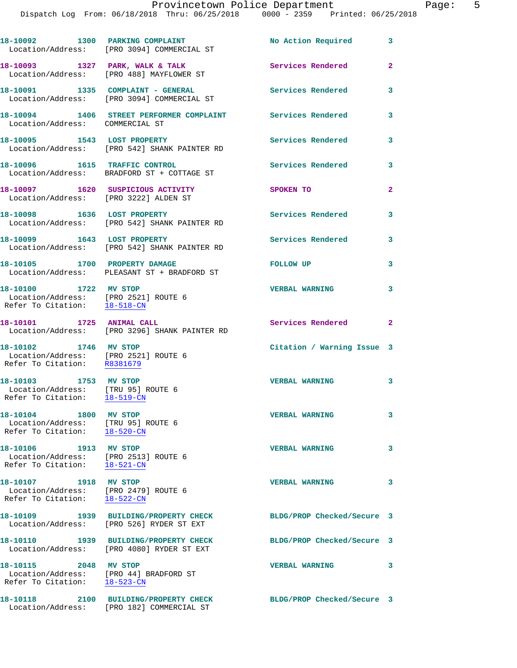Dispatch Log From: 06/18/2018 Thru: 06/25/2018 0000 - 2359 Printed: 06/25/2018

|                                                                                                 | 18-10092 1300 PARKING COMPLAINT<br>Location/Address: [PRO 3094] COMMERCIAL ST      | No Action Required         | 3                       |
|-------------------------------------------------------------------------------------------------|------------------------------------------------------------------------------------|----------------------------|-------------------------|
|                                                                                                 | 18-10093 1327 PARK, WALK & TALK<br>Location/Address: [PRO 488] MAYFLOWER ST        | Services Rendered          | $\overline{\mathbf{2}}$ |
|                                                                                                 | 18-10091 1335 COMPLAINT - GENERAL<br>Location/Address: [PRO 3094] COMMERCIAL ST    | <b>Services Rendered</b>   | 3                       |
| Location/Address: COMMERCIAL ST                                                                 | 18-10094 1406 STREET PERFORMER COMPLAINT Services Rendered                         |                            | 3                       |
|                                                                                                 | 18-10095 1543 LOST PROPERTY<br>Location/Address: [PRO 542] SHANK PAINTER RD        | <b>Services Rendered</b>   | 3                       |
|                                                                                                 | 18-10096 1615 TRAFFIC CONTROL<br>Location/Address: BRADFORD ST + COTTAGE ST        | Services Rendered          | 3                       |
| Location/Address: [PRO 3222] ALDEN ST                                                           | 18-10097 1620 SUSPICIOUS ACTIVITY                                                  | SPOKEN TO                  | $\overline{a}$          |
| 18-10098 1636 LOST PROPERTY                                                                     | Location/Address: [PRO 542] SHANK PAINTER RD                                       | <b>Services Rendered</b>   | 3                       |
|                                                                                                 | 18-10099 1643 LOST PROPERTY<br>Location/Address: [PRO 542] SHANK PAINTER RD        | Services Rendered          | 3                       |
| 18-10105 1700 PROPERTY DAMAGE                                                                   | Location/Address: PLEASANT ST + BRADFORD ST                                        | <b>FOLLOW UP</b>           | 3                       |
| 18-10100 1722 MV STOP<br>Location/Address: [PRO 2521] ROUTE 6<br>Refer To Citation: 18-518-CN   |                                                                                    | <b>VERBAL WARNING</b>      | 3                       |
|                                                                                                 | 18-10101 1725 ANIMAL CALL<br>Location/Address: [PRO 3296] SHANK PAINTER RD         | Services Rendered          | $\mathbf{2}$            |
| 18-10102 1746 MV STOP<br>Location/Address: [PRO 2521] ROUTE 6<br>Refer To Citation: R8381679    |                                                                                    | Citation / Warning Issue 3 |                         |
| 18-10103 1753 MV STOP<br>Location/Address: [TRU 95] ROUTE 6<br>Refer To Citation: 18-519-CN     |                                                                                    | <b>VERBAL WARNING</b>      | 3                       |
| 18-10104 1800 MV STOP<br>Location/Address: [TRU 95] ROUTE 6<br>Refer To Citation: 18-520-CN     |                                                                                    | <b>VERBAL WARNING</b>      | 3                       |
| 18-10106 1913 MV STOP<br>Location/Address: [PRO 2513] ROUTE 6<br>Refer To Citation: 18-521-CN   |                                                                                    | <b>VERBAL WARNING</b>      | 3                       |
| 18-10107 1918 MV STOP<br>Location/Address: [PRO 2479] ROUTE 6<br>Refer To Citation: 18-522-CN   |                                                                                    | <b>VERBAL WARNING</b>      | 3                       |
|                                                                                                 | 18-10109 1939 BUILDING/PROPERTY CHECK<br>Location/Address: [PRO 526] RYDER ST EXT  | BLDG/PROP Checked/Secure 3 |                         |
|                                                                                                 | 18-10110 1939 BUILDING/PROPERTY CHECK<br>Location/Address: [PRO 4080] RYDER ST EXT | BLDG/PROP Checked/Secure 3 |                         |
| 18-10115 2048 MV STOP<br>Location/Address: [PRO 44] BRADFORD ST<br>Refer To Citation: 18-523-CN |                                                                                    | <b>VERBAL WARNING</b>      | 3                       |
|                                                                                                 | 18-10118 2100 BUILDING/PROPERTY CHECK<br>Location/Address: [PRO 182] COMMERCIAL ST | BLDG/PROP Checked/Secure 3 |                         |
|                                                                                                 |                                                                                    |                            |                         |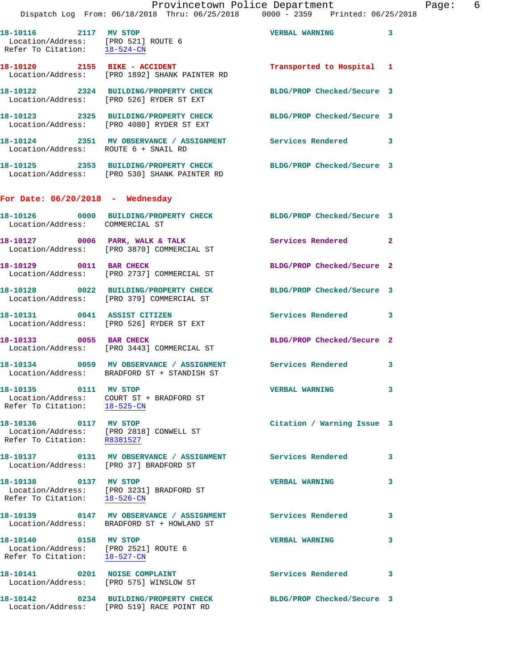|                                                                                                     | Provincetown Police Department The Page: 6<br>Dispatch Log From: 06/18/2018 Thru: 06/25/2018 0000 - 2359 Printed: 06/25/2018 |                            |   |  |
|-----------------------------------------------------------------------------------------------------|------------------------------------------------------------------------------------------------------------------------------|----------------------------|---|--|
| 18-10116 2117 MV STOP<br>Location/Address: [PRO 521] ROUTE 6<br>Refer To Citation: <u>18-524-CN</u> |                                                                                                                              | <b>VERBAL WARNING 3</b>    |   |  |
|                                                                                                     | 18-10120 2155 BIKE - ACCIDENT<br>Location/Address: [PRO 1892] SHANK PAINTER RD                                               | Transported to Hospital 1  |   |  |
|                                                                                                     | 18-10122 2324 BUILDING/PROPERTY CHECK BLDG/PROP Checked/Secure 3<br>Location/Address: [PRO 526] RYDER ST EXT                 |                            |   |  |
|                                                                                                     | 18-10123 2325 BUILDING/PROPERTY CHECK BLDG/PROP Checked/Secure 3<br>Location/Address: [PRO 4080] RYDER ST EXT                |                            |   |  |
| Location/Address: ROUTE 6 + SNAIL RD                                                                | 18-10124 2351 MV OBSERVANCE / ASSIGNMENT Services Rendered 3                                                                 |                            |   |  |
|                                                                                                     | 18-10125 2353 BUILDING/PROPERTY CHECK BLDG/PROP Checked/Secure 3<br>Location/Address: [PRO 530] SHANK PAINTER RD             |                            |   |  |
| For Date: $06/20/2018$ - Wednesday                                                                  |                                                                                                                              |                            |   |  |
| Location/Address: COMMERCIAL ST                                                                     | 18-10126 0000 BUILDING/PROPERTY CHECK BLDG/PROP Checked/Secure 3                                                             |                            |   |  |
|                                                                                                     | 18-10127 0006 PARK, WALK & TALK 3 Services Rendered 2<br>Location/Address: [PRO 3870] COMMERCIAL ST                          |                            |   |  |
|                                                                                                     | 18-10129 0011 BAR CHECK<br>Location/Address: [PRO 2737] COMMERCIAL ST                                                        | BLDG/PROP Checked/Secure 2 |   |  |
|                                                                                                     | 18-10128 0022 BUILDING/PROPERTY CHECK BLDG/PROP Checked/Secure 3<br>Location/Address: [PRO 379] COMMERCIAL ST                |                            |   |  |
|                                                                                                     | 18-10131 0041 ASSIST CITIZEN<br>Location/Address: [PRO 526] RYDER ST EXT                                                     | Services Rendered 3        |   |  |
| 18-10133 0055 BAR CHECK                                                                             | Location/Address: [PRO 3443] COMMERCIAL ST                                                                                   | BLDG/PROP Checked/Secure 2 |   |  |
|                                                                                                     | 18-10134 0059 MV OBSERVANCE / ASSIGNMENT Services Rendered<br>Location/Address: BRADFORD ST + STANDISH ST                    |                            | 3 |  |
| Refer To Citation: 18-525-CN                                                                        | Location/Address: COURT ST + BRADFORD ST                                                                                     | <b>VERBAL WARNING</b>      | 3 |  |
| 18-10136 0117 MV STOP<br>Location/Address: [PRO 2818] CONWELL ST<br>Refer To Citation: R8381527     |                                                                                                                              | Citation / Warning Issue 3 |   |  |
| Location/Address: [PRO 37] BRADFORD ST                                                              | 18-10137 		 0131 MV OBSERVANCE / ASSIGNMENT Services Rendered                                                                |                            | 3 |  |
| Refer To Citation: 18-526-CN                                                                        | 18-10138 0137 MV STOP<br>Location/Address: [PRO 3231] BRADFORD ST                                                            | <b>VERBAL WARNING</b>      | 3 |  |
|                                                                                                     | 18-10139   0147 MV OBSERVANCE / ASSIGNMENT   Services Rendered<br>Location/Address: BRADFORD ST + HOWLAND ST                 |                            | 3 |  |
| 18-10140 0158 MV STOP<br>Location/Address: [PRO 2521] ROUTE 6<br>Refer To Citation: 18-527-CN       |                                                                                                                              | <b>VERBAL WARNING</b>      | 3 |  |
| 18-10141 0201 NOISE COMPLAINT<br>Location/Address: [PRO 575] WINSLOW ST                             |                                                                                                                              | <b>Services Rendered</b>   | 3 |  |
|                                                                                                     | 18-10142 0234 BUILDING/PROPERTY CHECK BLDG/PROP Checked/Secure 3<br>Location/Address: [PRO 519] RACE POINT RD                |                            |   |  |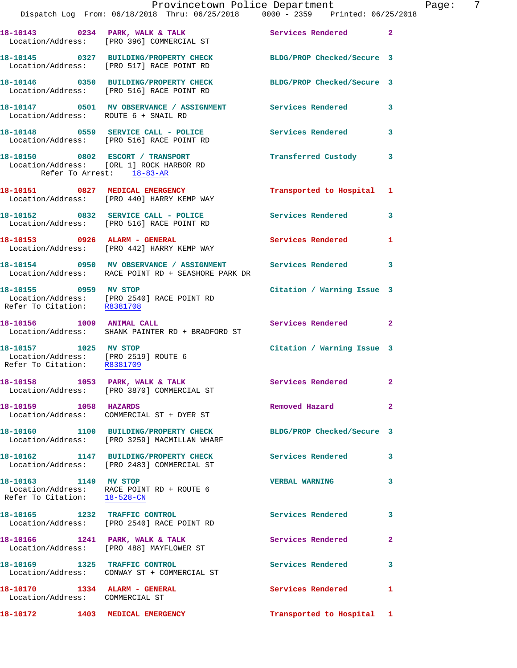|                                                                                              | Provincetown Police Department<br>Dispatch Log From: 06/18/2018 Thru: 06/25/2018 0000 - 2359 Printed: 06/25/2018              |                            |                |
|----------------------------------------------------------------------------------------------|-------------------------------------------------------------------------------------------------------------------------------|----------------------------|----------------|
|                                                                                              | 18-10143 0234 PARK, WALK & TALK 6 Services Rendered<br>Location/Address: [PRO 396] COMMERCIAL ST                              |                            | $\overline{2}$ |
|                                                                                              | 18-10145 0327 BUILDING/PROPERTY CHECK BLDG/PROP Checked/Secure 3<br>Location/Address: [PRO 517] RACE POINT RD                 |                            |                |
|                                                                                              | 18-10146 0350 BUILDING/PROPERTY CHECK<br>Location/Address: [PRO 516] RACE POINT RD                                            | BLDG/PROP Checked/Secure 3 |                |
| Location/Address: ROUTE 6 + SNAIL RD                                                         | 18-10147 0501 MV OBSERVANCE / ASSIGNMENT Services Rendered                                                                    |                            | 3              |
|                                                                                              | 18-10148 0559 SERVICE CALL - POLICE<br>Location/Address: [PRO 516] RACE POINT RD                                              | <b>Services Rendered</b>   | 3              |
| Refer To Arrest: 18-83-AR                                                                    | 18-10150 0802 ESCORT / TRANSPORT<br>Location/Address: [ORL 1] ROCK HARBOR RD                                                  | Transferred Custody        | 3              |
|                                                                                              | 18-10151 0827 MEDICAL EMERGENCY<br>Location/Address: [PRO 440] HARRY KEMP WAY                                                 | Transported to Hospital    | 1              |
|                                                                                              | 18-10152 0832 SERVICE CALL - POLICE Services Rendered<br>Location/Address: [PRO 516] RACE POINT RD                            |                            | 3              |
|                                                                                              | 18-10153 0926 ALARM - GENERAL<br>Location/Address: [PRO 442] HARRY KEMP WAY                                                   | <b>Services Rendered</b>   | 1              |
|                                                                                              | 18-10154     0950   MV OBSERVANCE / ASSIGNMENT      Services Rendered<br>Location/Address:   RACE POINT RD + SEASHORE PARK DR |                            | 3              |
| 18-10155 0959 MV STOP<br>Refer To Citation: R8381708                                         | Location/Address: [PRO 2540] RACE POINT RD                                                                                    | Citation / Warning Issue 3 |                |
|                                                                                              | 18-10156 1009 ANIMAL CALL<br>Location/Address: SHANK PAINTER RD + BRADFORD ST                                                 | <b>Services Rendered</b>   | $\overline{2}$ |
| 18-10157 1025 MV STOP<br>Location/Address: [PRO 2519] ROUTE 6<br>Refer To Citation: R8381709 |                                                                                                                               | Citation / Warning Issue 3 |                |
|                                                                                              | 18-10158 1053 PARK, WALK & TALK<br>Location/Address: [PRO 3870] COMMERCIAL ST                                                 | Services Rendered          | 2              |
| 18-10159 1058 HAZARDS                                                                        |                                                                                                                               | Removed Hazard             | $\mathbf{2}$   |
|                                                                                              | Location/Address: [PRO 3259] MACMILLAN WHARF                                                                                  | BLDG/PROP Checked/Secure 3 |                |
|                                                                                              | 18-10162 1147 BUILDING/PROPERTY CHECK<br>Location/Address: [PRO 2483] COMMERCIAL ST                                           | Services Rendered          | 3              |
| Refer To Citation: 18-528-CN                                                                 | Location/Address: RACE POINT RD + ROUTE 6                                                                                     | <b>VERBAL WARNING</b>      | 3              |
|                                                                                              | 18-10165 1232 TRAFFIC CONTROL<br>Location/Address: [PRO 2540] RACE POINT RD                                                   | <b>Services Rendered</b>   | 3              |
|                                                                                              | 18-10166 1241 PARK, WALK & TALK<br>Location/Address: [PRO 488] MAYFLOWER ST                                                   | Services Rendered          | $\overline{a}$ |
| 18-10169 1325 TRAFFIC CONTROL                                                                | Location/Address: CONWAY ST + COMMERCIAL ST                                                                                   | <b>Services Rendered</b>   | 3              |
| 18-10170<br>Location/Address: COMMERCIAL ST                                                  | 1334 ALARM - GENERAL                                                                                                          | <b>Services Rendered</b>   | 1              |
| 18-10172                                                                                     | 1403 MEDICAL EMERGENCY                                                                                                        | Transported to Hospital 1  |                |

Page: 7<br><sup>18</sup>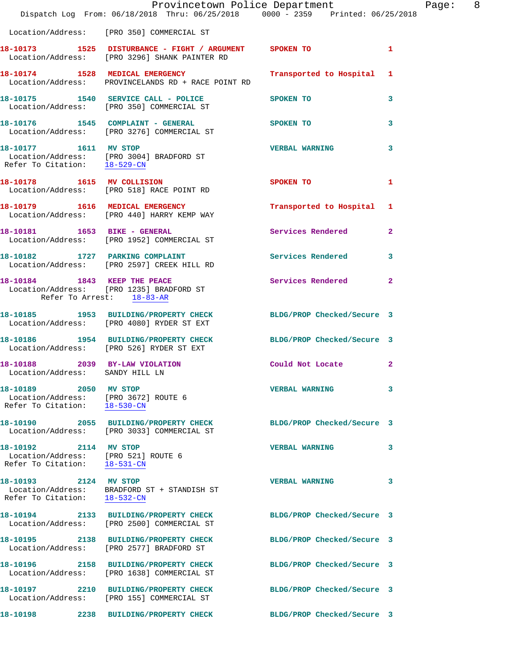|                                                                                               | Dispatch Log From: 06/18/2018 Thru: 06/25/2018 0000 - 2359 Printed: 06/25/2018                                | Provincetown Police Department | Page: 8      |
|-----------------------------------------------------------------------------------------------|---------------------------------------------------------------------------------------------------------------|--------------------------------|--------------|
|                                                                                               | Location/Address: [PRO 350] COMMERCIAL ST                                                                     |                                |              |
|                                                                                               | 18-10173 1525 DISTURBANCE - FIGHT / ARGUMENT SPOKEN TO<br>Location/Address: [PRO 3296] SHANK PAINTER RD       |                                | $\mathbf{1}$ |
|                                                                                               | 18-10174 1528 MEDICAL EMERGENCY<br>Location/Address: PROVINCELANDS RD + RACE POINT RD                         | Transported to Hospital 1      |              |
|                                                                                               | 18-10175 1540 SERVICE CALL - POLICE<br>Location/Address: [PRO 350] COMMERCIAL ST                              | SPOKEN TO                      | 3            |
|                                                                                               | 18-10176 1545 COMPLAINT - GENERAL<br>Location/Address: [PRO 3276] COMMERCIAL ST                               | SPOKEN TO                      | 3            |
| 18-10177 1611 MV STOP                                                                         | Location/Address: [PRO 3004] BRADFORD ST<br>Refer To Citation: 18-529-CN                                      | <b>VERBAL WARNING</b>          | $\mathbf{3}$ |
|                                                                                               | 18-10178 1615 MV COLLISION<br>Location/Address: [PRO 518] RACE POINT RD                                       | <b>SPOKEN TO</b>               | 1            |
|                                                                                               | 18-10179 1616 MEDICAL EMERGENCY<br>Location/Address: [PRO 440] HARRY KEMP WAY                                 | Transported to Hospital 1      |              |
|                                                                                               | 18-10181 1653 BIKE - GENERAL<br>Location/Address: [PRO 1952] COMMERCIAL ST                                    | Services Rendered              | $\mathbf{2}$ |
|                                                                                               | 18-10182 1727 PARKING COMPLAINT<br>Location/Address: [PRO 2597] CREEK HILL RD                                 | <b>Services Rendered</b>       | $\mathbf{3}$ |
|                                                                                               | 18-10184 1843 KEEP THE PEACE<br>Location/Address: [PRO 1235] BRADFORD ST<br>Refer To Arrest: 18-83-AR         | Services Rendered 2            |              |
|                                                                                               | 18-10185 1953 BUILDING/PROPERTY CHECK BLDG/PROP Checked/Secure 3<br>Location/Address: [PRO 4080] RYDER ST EXT |                                |              |
|                                                                                               | 18-10186 1954 BUILDING/PROPERTY CHECK BLDG/PROP Checked/Secure 3<br>Location/Address: [PRO 526] RYDER ST EXT  |                                |              |
| 18-10188 2039 BY-LAW VIOLATION<br>Location/Address: SANDY HILL LN                             |                                                                                                               | Could Not Locate               | $\mathbf{2}$ |
| 18-10189 2050 MV STOP<br>Location/Address: [PRO 3672] ROUTE 6<br>Refer To Citation: 18-530-CN |                                                                                                               | <b>VERBAL WARNING</b>          | 3            |
|                                                                                               | 18-10190 2055 BUILDING/PROPERTY CHECK<br>Location/Address: [PRO 3033] COMMERCIAL ST                           | BLDG/PROP Checked/Secure 3     |              |
| 18-10192 2114 MV STOP<br>Location/Address: [PRO 521] ROUTE 6<br>Refer To Citation: 18-531-CN  |                                                                                                               | <b>VERBAL WARNING</b>          | 3            |
| 18-10193 2124 MV STOP<br>Refer To Citation: 18-532-CN                                         | Location/Address: BRADFORD ST + STANDISH ST                                                                   | <b>VERBAL WARNING</b>          | 3            |
|                                                                                               | 18-10194 2133 BUILDING/PROPERTY CHECK<br>Location/Address: [PRO 2500] COMMERCIAL ST                           | BLDG/PROP Checked/Secure 3     |              |
|                                                                                               | 18-10195  2138 BUILDING/PROPERTY CHECK<br>Location/Address: [PRO 2577] BRADFORD ST                            | BLDG/PROP Checked/Secure 3     |              |
|                                                                                               | 18-10196 2158 BUILDING/PROPERTY CHECK<br>Location/Address: [PRO 1638] COMMERCIAL ST                           | BLDG/PROP Checked/Secure 3     |              |
|                                                                                               | 18-10197 2210 BUILDING/PROPERTY CHECK<br>Location/Address: [PRO 155] COMMERCIAL ST                            | BLDG/PROP Checked/Secure 3     |              |
|                                                                                               |                                                                                                               | BLDG/PROP Checked/Secure 3     |              |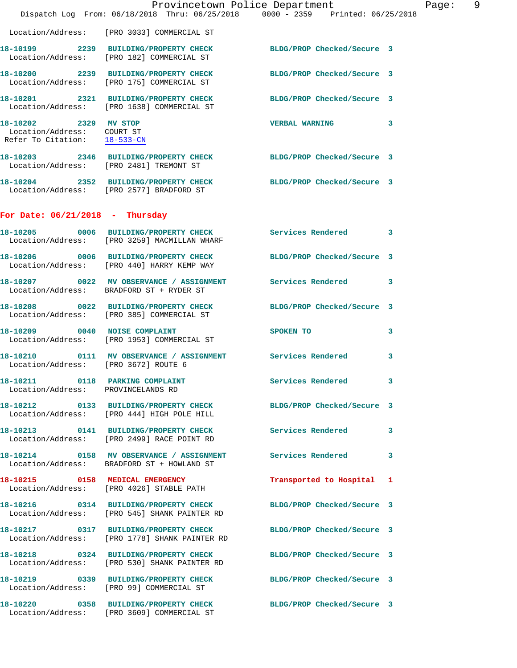|                                                                                     | Dispatch Log From: 06/18/2018 Thru: 06/25/2018 0000 - 2359 Printed: 06/25/2018                                   | Provincetown Police Department | Page: 9 |  |
|-------------------------------------------------------------------------------------|------------------------------------------------------------------------------------------------------------------|--------------------------------|---------|--|
|                                                                                     | Location/Address: [PRO 3033] COMMERCIAL ST                                                                       |                                |         |  |
|                                                                                     | 18-10199 2239 BUILDING/PROPERTY CHECK BLDG/PROP Checked/Secure 3<br>Location/Address: [PRO 182] COMMERCIAL ST    |                                |         |  |
|                                                                                     | 18-10200 2239 BUILDING/PROPERTY CHECK BLDG/PROP Checked/Secure 3<br>Location/Address: [PRO 175] COMMERCIAL ST    |                                |         |  |
|                                                                                     | 18-10201 2321 BUILDING/PROPERTY CHECK BLDG/PROP Checked/Secure 3<br>Location/Address: [PRO 1638] COMMERCIAL ST   |                                |         |  |
| 18-10202 2329 MV STOP<br>Location/Address: COURT ST<br>Refer To Citation: 18-533-CN |                                                                                                                  | VERBAL WARNING 3               |         |  |
|                                                                                     | 18-10203 2346 BUILDING/PROPERTY CHECK BLDG/PROP Checked/Secure 3<br>Location/Address: [PRO 2481] TREMONT ST      |                                |         |  |
|                                                                                     | 18-10204 2352 BUILDING/PROPERTY CHECK BLDG/PROP Checked/Secure 3<br>Location/Address: [PRO 2577] BRADFORD ST     |                                |         |  |
| For Date: $06/21/2018$ - Thursday                                                   |                                                                                                                  |                                |         |  |
|                                                                                     | 18-10205 0006 BUILDING/PROPERTY CHECK Services Rendered 3<br>Location/Address: [PRO 3259] MACMILLAN WHARF        |                                |         |  |
|                                                                                     | 18-10206 0006 BUILDING/PROPERTY CHECK BLDG/PROP Checked/Secure 3<br>Location/Address: [PRO 440] HARRY KEMP WAY   |                                |         |  |
|                                                                                     | 18-10207 0022 MV OBSERVANCE / ASSIGNMENT Services Rendered 3<br>Location/Address: BRADFORD ST + RYDER ST         |                                |         |  |
|                                                                                     | 18-10208 0022 BUILDING/PROPERTY CHECK<br>Location/Address: [PRO 385] COMMERCIAL ST                               | BLDG/PROP Checked/Secure 3     |         |  |
|                                                                                     | 18-10209 0040 NOISE COMPLAINT<br>Location/Address: [PRO 1953] COMMERCIAL ST                                      | SPOKEN TO                      | 3       |  |
| Location/Address: [PRO 3672] ROUTE 6                                                | 18-10210 0111 MV OBSERVANCE / ASSIGNMENT Services Rendered 3                                                     |                                |         |  |
| Location/Address: PROVINCELANDS RD                                                  | 18-10211 0118 PARKING COMPLAINT                                                                                  | Services Rendered 3            |         |  |
|                                                                                     | 18-10212 0133 BUILDING/PROPERTY CHECK BLDG/PROP Checked/Secure 3<br>Location/Address: [PRO 444] HIGH POLE HILL   |                                |         |  |
|                                                                                     | 18-10213 0141 BUILDING/PROPERTY CHECK<br>Location/Address: [PRO 2499] RACE POINT RD                              | Services Rendered              | 3       |  |
|                                                                                     | 18-10214 0158 MV OBSERVANCE / ASSIGNMENT Services Rendered 3<br>Location/Address: BRADFORD ST + HOWLAND ST       |                                |         |  |
|                                                                                     | 18-10215 0158 MEDICAL EMERGENCY<br>Location/Address: [PRO 4026] STABLE PATH                                      | Transported to Hospital 1      |         |  |
|                                                                                     | 18-10216 0314 BUILDING/PROPERTY CHECK BLDG/PROP Checked/Secure 3<br>Location/Address: [PRO 545] SHANK PAINTER RD |                                |         |  |
|                                                                                     | 18-10217 0317 BUILDING/PROPERTY CHECK<br>Location/Address: [PRO 1778] SHANK PAINTER RD                           | BLDG/PROP Checked/Secure 3     |         |  |
|                                                                                     | 18-10218 0324 BUILDING/PROPERTY CHECK BLDG/PROP Checked/Secure 3<br>Location/Address: [PRO 530] SHANK PAINTER RD |                                |         |  |
|                                                                                     | 18-10219 0339 BUILDING/PROPERTY CHECK<br>Location/Address: [PRO 99] COMMERCIAL ST                                | BLDG/PROP Checked/Secure 3     |         |  |
|                                                                                     | 18-10220 0358 BUILDING/PROPERTY CHECK<br>Location/Address: [PRO 3609] COMMERCIAL ST                              | BLDG/PROP Checked/Secure 3     |         |  |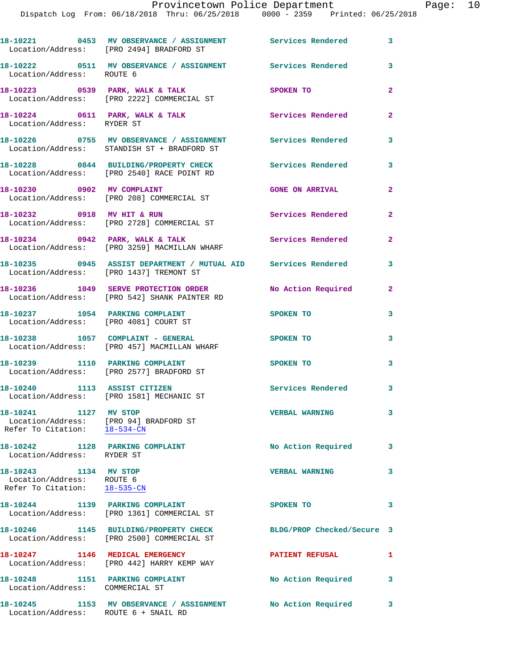|                                                                                                 | 18-10221 0453 MV OBSERVANCE / ASSIGNMENT Services Rendered<br>Location/Address: [PRO 2494] BRADFORD ST             |                            | 3              |
|-------------------------------------------------------------------------------------------------|--------------------------------------------------------------------------------------------------------------------|----------------------------|----------------|
| Location/Address: ROUTE 6                                                                       | 18-10222 0511 MV OBSERVANCE / ASSIGNMENT Services Rendered                                                         |                            | 3              |
|                                                                                                 | 18-10223 0539 PARK, WALK & TALK<br>Location/Address: [PRO 2222] COMMERCIAL ST                                      | SPOKEN TO                  | $\overline{a}$ |
| Location/Address: RYDER ST                                                                      | 18-10224 0611 PARK, WALK & TALK                                                                                    | Services Rendered          | $\mathbf{2}$   |
|                                                                                                 | 18-10226 0755 MV OBSERVANCE / ASSIGNMENT Services Rendered<br>Location/Address: STANDISH ST + BRADFORD ST          |                            | 3              |
|                                                                                                 | 18-10228 0844 BUILDING/PROPERTY CHECK<br>Location/Address: [PRO 2540] RACE POINT RD                                | <b>Services Rendered</b>   | 3              |
| 18-10230 0902 MV COMPLAINT                                                                      | Location/Address: [PRO 208] COMMERCIAL ST                                                                          | <b>GONE ON ARRIVAL</b>     | $\mathbf{2}$   |
|                                                                                                 | 18-10232 0918 MV HIT & RUN<br>Location/Address: [PRO 2728] COMMERCIAL ST                                           | Services Rendered          | $\mathbf{2}$   |
|                                                                                                 | 18-10234 0942 PARK, WALK & TALK<br>Location/Address: [PRO 3259] MACMILLAN WHARF                                    | Services Rendered          | $\mathbf{2}$   |
|                                                                                                 | 18-10235     0945 ASSIST DEPARTMENT / MUTUAL AID    Services Rendered<br>Location/Address:   [PRO 1437] TREMONT ST |                            | 3              |
|                                                                                                 | 18-10236 1049 SERVE PROTECTION ORDER<br>Location/Address: [PRO 542] SHANK PAINTER RD                               | No Action Required         | 2              |
|                                                                                                 | 18-10237 1054 PARKING COMPLAINT<br>Location/Address: [PRO 4081] COURT ST                                           | SPOKEN TO                  | 3              |
|                                                                                                 | 18-10238 1057 COMPLAINT - GENERAL<br>Location/Address: [PRO 457] MACMILLAN WHARF                                   | SPOKEN TO                  | 3              |
|                                                                                                 | 18-10239 1110 PARKING COMPLAINT<br>Location/Address: [PRO 2577] BRADFORD ST                                        | SPOKEN TO                  | 3              |
| 18-10240 1113 ASSIST CITIZEN                                                                    | Location/Address: [PRO 1581] MECHANIC ST                                                                           | <b>Services Rendered</b>   | 3              |
| 18-10241 1127 MV STOP<br>Location/Address: [PRO 94] BRADFORD ST<br>Refer To Citation: 18-534-CN |                                                                                                                    | <b>VERBAL WARNING</b>      | 3              |
| 18-10242 1128 PARKING COMPLAINT<br>Location/Address: RYDER ST                                   |                                                                                                                    | No Action Required         | 3              |
| 18-10243 1134 MV STOP<br>Location/Address: ROUTE 6<br>Refer To Citation: 18-535-CN              |                                                                                                                    | <b>VERBAL WARNING</b>      | 3              |
|                                                                                                 | 18-10244 1139 PARKING COMPLAINT<br>Location/Address: [PRO 1361] COMMERCIAL ST                                      | SPOKEN TO                  | 3              |
|                                                                                                 | 18-10246 1145 BUILDING/PROPERTY CHECK<br>Location/Address: [PRO 2500] COMMERCIAL ST                                | BLDG/PROP Checked/Secure 3 |                |
|                                                                                                 | 18-10247 1146 MEDICAL EMERGENCY<br>Location/Address: [PRO 442] HARRY KEMP WAY                                      | <b>PATIENT REFUSAL</b>     | 1              |
| 18-10248 1151 PARKING COMPLAINT<br>Location/Address: COMMERCIAL ST                              |                                                                                                                    | No Action Required         | 3              |
| Location/Address: ROUTE 6 + SNAIL RD                                                            | 18-10245 1153 MV OBSERVANCE / ASSIGNMENT                                                                           | No Action Required         | 3              |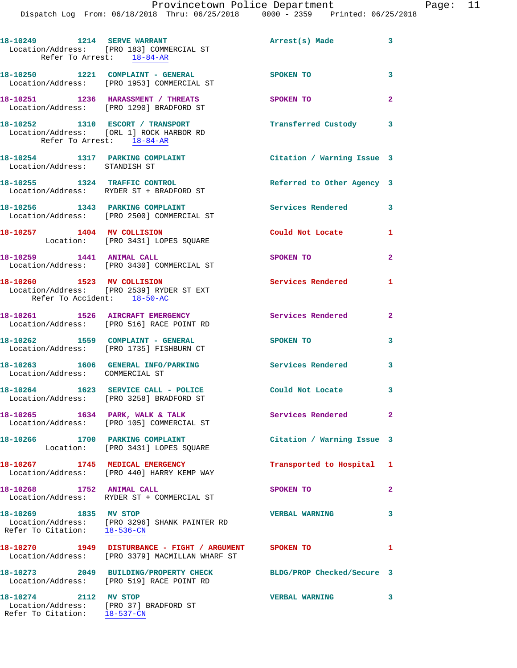|                                                           | Provincetown Police Department<br>Dispatch Log From: 06/18/2018 Thru: 06/25/2018 0000 - 2359 Printed: 06/25/2018 |                            |                |
|-----------------------------------------------------------|------------------------------------------------------------------------------------------------------------------|----------------------------|----------------|
|                                                           |                                                                                                                  |                            |                |
|                                                           | 18-10249 1214 SERVE WARRANT<br>Location/Address: [PRO 183] COMMERCIAL ST<br>Refer To Arrest: 18-84-AR            | Arrest(s) Made             | 3              |
|                                                           | 18-10250 1221 COMPLAINT - GENERAL<br>Location/Address: [PRO 1953] COMMERCIAL ST                                  | <b>SPOKEN TO</b>           | 3              |
|                                                           | 18-10251 1236 HARASSMENT / THREATS<br>Location/Address: [PRO 1290] BRADFORD ST                                   | SPOKEN TO                  | $\overline{a}$ |
|                                                           | 18-10252 1310 ESCORT / TRANSPORT<br>Location/Address: [ORL 1] ROCK HARBOR RD<br>Refer To Arrest: 18-84-AR        | Transferred Custody        | 3              |
| Location/Address: STANDISH ST                             | 18-10254 1317 PARKING COMPLAINT Contract Citation / Warning Issue 3                                              |                            |                |
|                                                           | 18-10255 1324 TRAFFIC CONTROL<br>Location/Address: RYDER ST + BRADFORD ST                                        | Referred to Other Agency 3 |                |
|                                                           | 18-10256 1343 PARKING COMPLAINT<br>Location/Address: [PRO 2500] COMMERCIAL ST                                    | <b>Services Rendered</b>   | 3              |
|                                                           | 18-10257 1404 MV COLLISION<br>Location: [PRO 3431] LOPES SQUARE                                                  | Could Not Locate           | 1              |
|                                                           | 18-10259 1441 ANIMAL CALL<br>Location/Address: [PRO 3430] COMMERCIAL ST                                          | <b>SPOKEN TO</b>           | 2              |
| 18-10260 1523 MV COLLISION<br>Refer To Accident: 18-50-AC | Location/Address: [PRO 2539] RYDER ST EXT                                                                        | <b>Services Rendered</b>   | 1              |
|                                                           | 18-10261 1526 AIRCRAFT EMERGENCY<br>Location/Address: [PRO 516] RACE POINT RD                                    | Services Rendered          | $\mathbf{2}$   |
|                                                           | 18-10262 1559 COMPLAINT - GENERAL<br>Location/Address: [PRO 1735] FISHBURN CT                                    | SPOKEN TO                  | 3              |
| Location/Address: COMMERCIAL ST                           | 18-10263 1606 GENERAL INFO/PARKING                                                                               | Services Rendered          | 3              |
|                                                           | 18-10264 1623 SERVICE CALL - POLICE<br>Location/Address: [PRO 3258] BRADFORD ST                                  | Could Not Locate           | 3              |
|                                                           | 18-10265 1634 PARK, WALK & TALK<br>Location/Address: [PRO 105] COMMERCIAL ST                                     | Services Rendered          | 2              |
|                                                           | 18-10266 1700 PARKING COMPLAINT<br>Location: [PRO 3431] LOPES SQUARE                                             | Citation / Warning Issue 3 |                |
|                                                           | 18-10267 1745 MEDICAL EMERGENCY<br>Location/Address: [PRO 440] HARRY KEMP WAY                                    | Transported to Hospital    | 1              |
| 18-10268 1752 ANIMAL CALL                                 | Location/Address: RYDER ST + COMMERCIAL ST                                                                       | SPOKEN TO                  | $\overline{a}$ |
| 18-10269 1835 MV STOP<br>Refer To Citation:               | Location/Address: [PRO 3296] SHANK PAINTER RD<br>$18 - 536 - CN$                                                 | <b>VERBAL WARNING</b>      | 3              |

**18-10270 1949 DISTURBANCE - FIGHT / ARGUMENT SPOKEN TO 1**  Location/Address: [PRO 3379] MACMILLAN WHARF ST

Location/Address: [PRO 519] RACE POINT RD

 Location/Address: [PRO 37] BRADFORD ST Refer To Citation: 18-537-CN

**18-10273 2049 BUILDING/PROPERTY CHECK BLDG/PROP Checked/Secure 3** 

**18-10274 2112 MV STOP VERBAL WARNING 3** 

Page: 11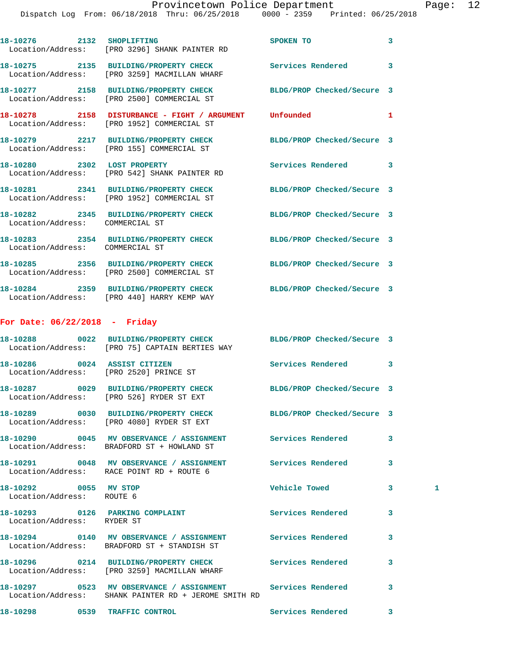| 1 |
|---|
|   |
|   |
|   |
|   |
|   |
|   |
|   |
|   |
|   |
|   |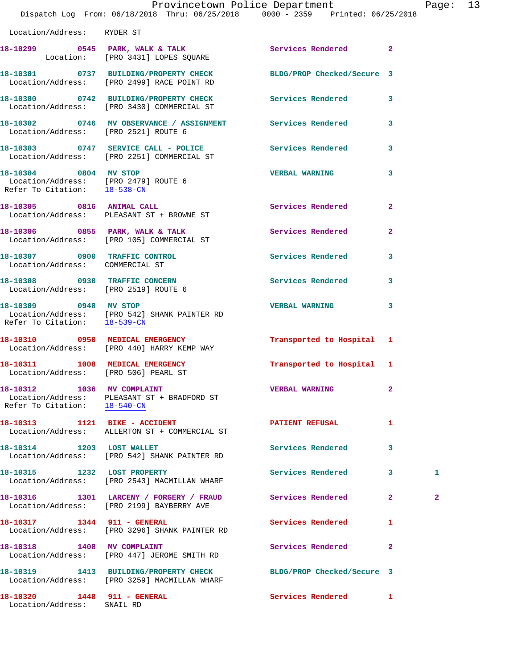|                                      | Provincetown Police Department<br>Dispatch Log From: 06/18/2018 Thru: 06/25/2018 0000 - 2359 Printed: 06/25/2018 |                            |              | Page: 13     |  |
|--------------------------------------|------------------------------------------------------------------------------------------------------------------|----------------------------|--------------|--------------|--|
| Location/Address: RYDER ST           |                                                                                                                  |                            |              |              |  |
|                                      | 18-10299 0545 PARK, WALK & TALK 1988 Services Rendered 2<br>Location: [PRO 3431] LOPES SQUARE                    |                            |              |              |  |
|                                      | 18-10301 0737 BUILDING/PROPERTY CHECK BLDG/PROP Checked/Secure 3<br>Location/Address: [PRO 2499] RACE POINT RD   |                            |              |              |  |
|                                      | 18-10300 0742 BUILDING/PROPERTY CHECK Services Rendered 3<br>Location/Address: [PRO 3430] COMMERCIAL ST          |                            |              |              |  |
| Location/Address: [PRO 2521] ROUTE 6 | 18-10302 0746 MV OBSERVANCE / ASSIGNMENT Services Rendered 3                                                     |                            |              |              |  |
|                                      | 18-10303 0747 SERVICE CALL - POLICE Number of Services Rendered 3<br>Location/Address: [PRO 2251] COMMERCIAL ST  |                            |              |              |  |
| Refer To Citation: 18-538-CN         | 18-10304 0804 MV STOP<br>Location/Address: [PRO 2479] ROUTE 6                                                    | <b>VERBAL WARNING</b>      | 3            |              |  |
|                                      | 18-10305 0816 ANIMAL CALL<br>Location/Address: PLEASANT ST + BROWNE ST                                           | Services Rendered 2        |              |              |  |
|                                      | 18-10306 0855 PARK, WALK & TALK<br>Location/Address: [PRO 105] COMMERCIAL ST                                     | Services Rendered          | $\mathbf{2}$ |              |  |
| Location/Address: COMMERCIAL ST      | 18-10307 0900 TRAFFIC CONTROL CONTROL Services Rendered 3                                                        |                            |              |              |  |
|                                      | 18-10308 0930 TRAFFIC CONCERN<br>Location/Address: [PRO 2519] ROUTE 6                                            | Services Rendered          | $\mathbf{3}$ |              |  |
| 18-10309 0948 MV STOP                | Location/Address: [PRO 542] SHANK PAINTER RD<br>Refer To Citation: 18-539-CN                                     | <b>VERBAL WARNING</b>      | 3            |              |  |
|                                      | 18-10310 0950 MEDICAL EMERGENCY<br>Location/Address: [PRO 440] HARRY KEMP WAY                                    | Transported to Hospital 1  |              |              |  |
| 18-10311 1008 MEDICAL EMERGENCY      | Location/Address: [PRO 506] PEARL ST                                                                             | Transported to Hospital 1  |              |              |  |
| Refer To Citation: 18-540-CN         | 18-10312 1036 MV COMPLAINT<br>Location/Address: PLEASANT ST + BRADFORD ST                                        | <b>VERBAL WARNING</b>      | $\mathbf{2}$ |              |  |
| 18-10313 1121 BIKE - ACCIDENT        | Location/Address: ALLERTON ST + COMMERCIAL ST                                                                    | <b>PATIENT REFUSAL</b>     | $\mathbf{1}$ |              |  |
| 18-10314 1203 LOST WALLET            | Location/Address: [PRO 542] SHANK PAINTER RD                                                                     | Services Rendered          | 3            |              |  |
| 18-10315 1232 LOST PROPERTY          | Location/Address: [PRO 2543] MACMILLAN WHARF                                                                     | Services Rendered 3        |              | 1            |  |
|                                      | 18-10316 1301 LARCENY / FORGERY / FRAUD Services Rendered 2<br>Location/Address: [PRO 2199] BAYBERRY AVE         |                            |              | $\mathbf{2}$ |  |
| 18-10317 1344 911 - GENERAL          | Location/Address: [PRO 3296] SHANK PAINTER RD                                                                    | Services Rendered          | $\mathbf{1}$ |              |  |
|                                      | 18-10318 1408 MV COMPLAINT<br>Location/Address: [PRO 447] JEROME SMITH RD                                        | Services Rendered          | $\mathbf{2}$ |              |  |
|                                      | 18-10319  1413 BUILDING/PROPERTY CHECK                                                                           | BLDG/PROP Checked/Secure 3 |              |              |  |

**18-10320 1448 911 - GENERAL Services Rendered 1**  Location/Address: SNAIL RD

Location/Address: [PRO 3259] MACMILLAN WHARF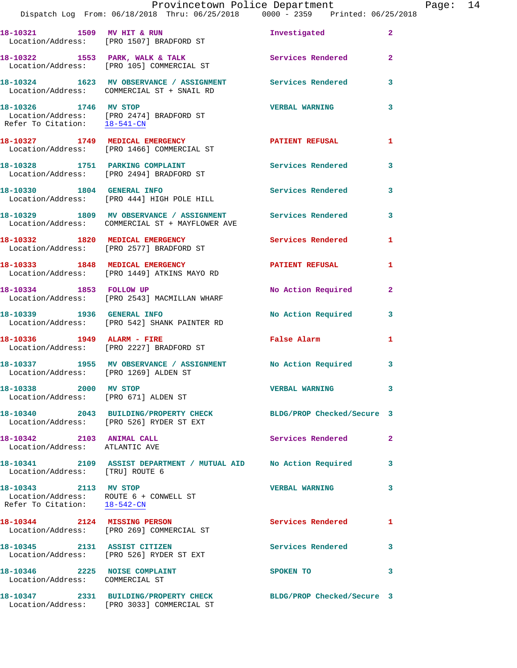|                                                                                                 | Provincetown Police Department<br>Dispatch Log From: 06/18/2018 Thru: 06/25/2018 0000 - 2359 Printed: 06/25/2018 |                            |                |
|-------------------------------------------------------------------------------------------------|------------------------------------------------------------------------------------------------------------------|----------------------------|----------------|
|                                                                                                 | 18-10321 1509 MV HIT & RUN 100 Investigated<br>Location/Address: [PRO 1507] BRADFORD ST                          |                            | 2              |
|                                                                                                 | 18-10322 1553 PARK, WALK & TALK<br>Location/Address: [PRO 105] COMMERCIAL ST                                     | Services Rendered          | $\overline{a}$ |
|                                                                                                 | 18-10324 1623 MV OBSERVANCE / ASSIGNMENT Services Rendered<br>Location/Address: COMMERCIAL ST + SNAIL RD         |                            | 3              |
| 18-10326 1746 MV STOP                                                                           | Location/Address: [PRO 2474] BRADFORD ST<br>Refer To Citation: $\frac{18-541-CN}{28}$                            | <b>VERBAL WARNING</b>      | 3              |
|                                                                                                 | 18-10327 1749 MEDICAL EMERGENCY<br>Location/Address: [PRO 1466] COMMERCIAL ST                                    | <b>PATIENT REFUSAL</b>     | 1              |
|                                                                                                 | 18-10328 1751 PARKING COMPLAINT<br>Location/Address: [PRO 2494] BRADFORD ST                                      | <b>Services Rendered</b>   | 3              |
|                                                                                                 | 18-10330 1804 GENERAL INFO<br>Location/Address: [PRO 444] HIGH POLE HILL                                         | <b>Services Rendered</b>   | 3              |
|                                                                                                 | 18-10329 1809 MV OBSERVANCE / ASSIGNMENT Services Rendered<br>Location/Address: COMMERCIAL ST + MAYFLOWER AVE    |                            | 3              |
|                                                                                                 | 18-10332 1820 MEDICAL EMERGENCY<br>Location/Address: [PRO 2577] BRADFORD ST                                      | <b>Services Rendered</b>   | 1              |
|                                                                                                 | 18-10333 1848 MEDICAL EMERGENCY<br>Location/Address: [PRO 1449] ATKINS MAYO RD                                   | <b>PATIENT REFUSAL</b>     | 1              |
| 18-10334 1853 FOLLOW UP                                                                         | Location/Address: [PRO 2543] MACMILLAN WHARF                                                                     | No Action Required         | $\overline{2}$ |
|                                                                                                 | 18-10339    1936    GENERAL INFO<br>Location/Address: [PRO 542] SHANK PAINTER RD                                 | No Action Required         | 3              |
| 18-10336   1949   ALARM - FIRE                                                                  | Location/Address: [PRO 2227] BRADFORD ST                                                                         | False Alarm                | 1              |
| Location/Address: [PRO 1269] ALDEN ST                                                           | 18-10337 1955 MV OBSERVANCE / ASSIGNMENT No Action Required                                                      |                            | 3              |
| 18-10338 2000 MV STOP<br>Location/Address: [PRO 671] ALDEN ST                                   |                                                                                                                  | <b>VERBAL WARNING</b>      | 3              |
|                                                                                                 | 18-10340 2043 BUILDING/PROPERTY CHECK BLDG/PROP Checked/Secure 3<br>Location/Address: [PRO 526] RYDER ST EXT     |                            |                |
| 18-10342 2103 ANIMAL CALL<br>Location/Address: ATLANTIC AVE                                     |                                                                                                                  | Services Rendered          | $\mathbf{2}$   |
| Location/Address: [TRU] ROUTE 6                                                                 | 18-10341 2109 ASSIST DEPARTMENT / MUTUAL AID No Action Required                                                  |                            | 3              |
| 18-10343 2113 MV STOP<br>Location/Address: ROUTE 6 + CONWELL ST<br>Refer To Citation: 18-542-CN |                                                                                                                  | <b>VERBAL WARNING</b>      | 3              |
|                                                                                                 | 18-10344 2124 MISSING PERSON<br>Location/Address: [PRO 269] COMMERCIAL ST                                        | Services Rendered          | 1              |
| 18-10345 2131 ASSIST CITIZEN                                                                    | Location/Address: [PRO 526] RYDER ST EXT                                                                         | Services Rendered          | 3              |
| 18-10346 2225 NOISE COMPLAINT<br>Location/Address: COMMERCIAL ST                                |                                                                                                                  | SPOKEN TO                  | 3              |
|                                                                                                 | 18-10347 2331 BUILDING/PROPERTY CHECK                                                                            | BLDG/PROP Checked/Secure 3 |                |

Location/Address: [PRO 3033] COMMERCIAL ST

Page: 14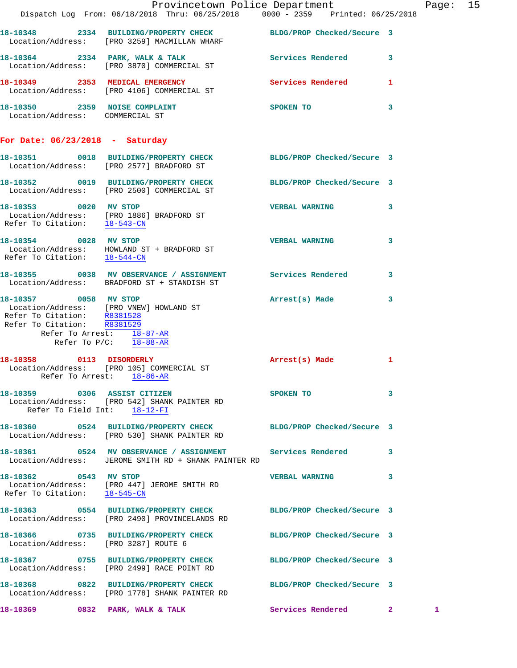|                                                                                                                                     | Dispatch Log From: 06/18/2018 Thru: 06/25/2018 0000 - 2359 Printed: 06/25/2018                                                 | Provincetown Police Department        |              | Page: 15 |  |
|-------------------------------------------------------------------------------------------------------------------------------------|--------------------------------------------------------------------------------------------------------------------------------|---------------------------------------|--------------|----------|--|
|                                                                                                                                     | 18-10348 2334 BUILDING/PROPERTY CHECK BLDG/PROP Checked/Secure 3<br>Location/Address: [PRO 3259] MACMILLAN WHARF               |                                       |              |          |  |
|                                                                                                                                     | 18-10364 2334 PARK, WALK & TALK Services Rendered 3<br>Location/Address: [PRO 3870] COMMERCIAL ST                              |                                       |              |          |  |
|                                                                                                                                     | 18-10349 2353 MEDICAL EMERGENCY<br>Location/Address: [PRO 4106] COMMERCIAL ST                                                  | Services Rendered 1                   |              |          |  |
| Location/Address: COMMERCIAL ST                                                                                                     | 18-10350 2359 NOISE COMPLAINT                                                                                                  | SPOKEN TO THE SPOKEN OF THE SPOKEN TO | 3            |          |  |
| For Date: $06/23/2018$ - Saturday                                                                                                   |                                                                                                                                |                                       |              |          |  |
|                                                                                                                                     | 18-10351 0018 BUILDING/PROPERTY CHECK BLDG/PROP Checked/Secure 3<br>Location/Address: [PRO 2577] BRADFORD ST                   |                                       |              |          |  |
|                                                                                                                                     | 18-10352 0019 BUILDING/PROPERTY CHECK BLDG/PROP Checked/Secure 3<br>Location/Address: [PRO 2500] COMMERCIAL ST                 |                                       |              |          |  |
| 18-10353 0020 MV STOP<br>Refer To Citation: 18-543-CN                                                                               | Location/Address: [PRO 1886] BRADFORD ST                                                                                       | <b>VERBAL WARNING</b>                 | $\mathbf{3}$ |          |  |
| 18-10354 0028 MV STOP                                                                                                               | $\begin{tabular}{ll} Location/Address: & HOWLAND ST + BRADFORD ST \\ Refer To Citation: & \underline{18-544-CN} \end{tabular}$ | <b>VERBAL WARNING</b>                 | 3            |          |  |
|                                                                                                                                     | 18-10355 0038 MV OBSERVANCE / ASSIGNMENT Services Rendered 3<br>Location/Address: BRADFORD ST + STANDISH ST                    |                                       |              |          |  |
| 18-10357 0058 MV STOP<br>Refer To Citation: R8381528<br>Refer To Citation: R8381529<br>Refer To Arrest: $\frac{18-87-AR}{18-88-AR}$ | Location/Address: [PRO VNEW] HOWLAND ST                                                                                        | Arrest(s) Made                        | 3            |          |  |
| 18-10358 0113 DISORDERLY                                                                                                            | Location/Address: [PRO 105] COMMERCIAL ST<br>Refer To Arrest: 18-86-AR                                                         | Arrest(s) Made                        | 1            |          |  |
| Refer To Field Int: 18-12-FI                                                                                                        | 18-10359 0306 ASSIST CITIZEN<br>Location/Address: [PRO 542] SHANK PAINTER RD                                                   | SPOKEN TO                             | 3            |          |  |
|                                                                                                                                     | 18-10360 0524 BUILDING/PROPERTY CHECK BLDG/PROP Checked/Secure 3<br>Location/Address: [PRO 530] SHANK PAINTER RD               |                                       |              |          |  |
|                                                                                                                                     | 18-10361 0524 MV OBSERVANCE / ASSIGNMENT Services Rendered<br>Location/Address: JEROME SMITH RD + SHANK PAINTER RD             |                                       | 3            |          |  |
| 18-10362 0543 MV STOP<br>Refer To Citation: 18-545-CN                                                                               | Location/Address: [PRO 447] JEROME SMITH RD                                                                                    | <b>VERBAL WARNING</b>                 | 3            |          |  |
|                                                                                                                                     | 18-10363 0554 BUILDING/PROPERTY CHECK<br>Location/Address: [PRO 2490] PROVINCELANDS RD                                         | BLDG/PROP Checked/Secure 3            |              |          |  |
| Location/Address: [PRO 3287] ROUTE 6                                                                                                | 18-10366 0735 BUILDING/PROPERTY CHECK BLDG/PROP Checked/Secure 3                                                               |                                       |              |          |  |
|                                                                                                                                     | 18-10367 0755 BUILDING/PROPERTY CHECK<br>Location/Address: [PRO 2499] RACE POINT RD                                            | BLDG/PROP Checked/Secure 3            |              |          |  |
|                                                                                                                                     | 18-10368 0822 BUILDING/PROPERTY CHECK<br>Location/Address: [PRO 1778] SHANK PAINTER RD                                         | BLDG/PROP Checked/Secure 3            |              |          |  |
| 18-10369 0832 PARK, WALK & TALK                                                                                                     |                                                                                                                                | <b>Services Rendered 22</b>           |              | 1.       |  |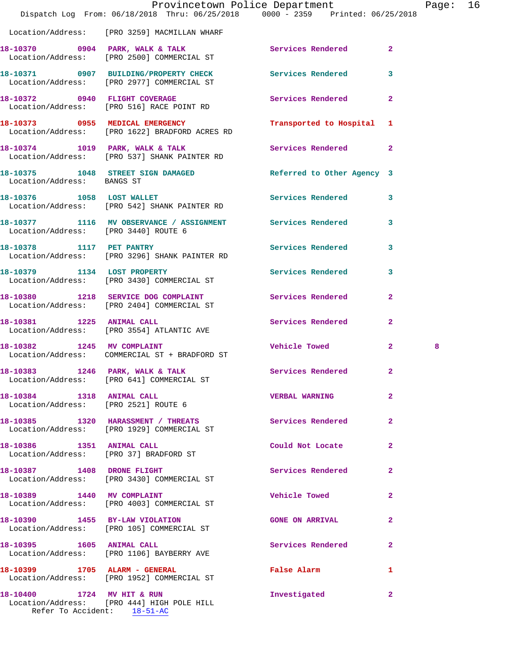|                                      | Dispatch Log From: 06/18/2018 Thru: 06/25/2018 0000 - 2359 Printed: 06/25/2018                           | Provincetown Police Department |              | Page: | 16 |
|--------------------------------------|----------------------------------------------------------------------------------------------------------|--------------------------------|--------------|-------|----|
|                                      | Location/Address: [PRO 3259] MACMILLAN WHARF                                                             |                                |              |       |    |
|                                      | 18-10370 0904 PARK, WALK & TALK<br>Location/Address: [PRO 2500] COMMERCIAL ST                            | Services Rendered              | $\mathbf{2}$ |       |    |
|                                      | 18-10371 0907 BUILDING/PROPERTY CHECK Services Rendered<br>Location/Address: [PRO 2977] COMMERCIAL ST    |                                | 3            |       |    |
|                                      | 18-10372 0940 FLIGHT COVERAGE<br>Location/Address: [PRO 516] RACE POINT RD                               | Services Rendered              | $\mathbf{2}$ |       |    |
|                                      | 18-10373 0955 MEDICAL EMERGENCY<br>Location/Address: [PRO 1622] BRADFORD ACRES RD                        | Transported to Hospital 1      |              |       |    |
|                                      | 18-10374 1019 PARK, WALK & TALK 1997 Services Rendered 2<br>Location/Address: [PRO 537] SHANK PAINTER RD |                                |              |       |    |
| Location/Address: BANGS ST           | 18-10375 1048 STREET SIGN DAMAGED                                                                        | Referred to Other Agency 3     |              |       |    |
|                                      | 18-10376 1058 LOST WALLET<br>Location/Address: [PRO 542] SHANK PAINTER RD                                | Services Rendered 3            |              |       |    |
| Location/Address: [PRO 3440] ROUTE 6 | 18-10377 1116 MV OBSERVANCE / ASSIGNMENT Services Rendered                                               |                                | 3            |       |    |
| 18-10378 1117 PET PANTRY             | Location/Address: [PRO 3296] SHANK PAINTER RD                                                            | Services Rendered              | 3            |       |    |
|                                      | 18-10379 1134 LOST PROPERTY<br>Location/Address: [PRO 3430] COMMERCIAL ST                                | Services Rendered              | $\mathbf{3}$ |       |    |
|                                      | 18-10380 1218 SERVICE DOG COMPLAINT<br>Location/Address: [PRO 2404] COMMERCIAL ST                        | Services Rendered              | $\mathbf{2}$ |       |    |
|                                      | 18-10381 1225 ANIMAL CALL<br>Location/Address: [PRO 3554] ATLANTIC AVE                                   | Services Rendered              | $\mathbf{2}$ |       |    |
|                                      | 18-10382 1245 MV COMPLAINT<br>Location/Address: COMMERCIAL ST + BRADFORD ST                              | <b>Vehicle Towed State</b>     | $\mathbf{2}$ | 8     |    |
|                                      | 18-10383 1246 PARK, WALK & TALK 1997 Services Rendered 2<br>Location/Address: [PRO 641] COMMERCIAL ST    |                                |              |       |    |
| 18-10384 1318 ANIMAL CALL            | Location/Address: [PRO 2521] ROUTE 6                                                                     | <b>VERBAL WARNING</b>          | $\mathbf{2}$ |       |    |
|                                      | 18-10385 1320 HARASSMENT / THREATS Services Rendered<br>Location/Address: [PRO 1929] COMMERCIAL ST       |                                | $\mathbf{2}$ |       |    |
|                                      | 18-10386 1351 ANIMAL CALL<br>Location/Address: [PRO 37] BRADFORD ST                                      | Could Not Locate 2             |              |       |    |
|                                      | 18-10387 1408 DRONE FLIGHT<br>Location/Address: [PRO 3430] COMMERCIAL ST                                 | Services Rendered              | 2            |       |    |
| 18-10389 1440 MV COMPLAINT           | Location/Address: [PRO 4003] COMMERCIAL ST                                                               | <b>Vehicle Towed</b>           | $\mathbf{2}$ |       |    |
|                                      | 18-10390 1455 BY-LAW VIOLATION<br>Location/Address: [PRO 105] COMMERCIAL ST                              | <b>GONE ON ARRIVAL</b>         | $\mathbf{2}$ |       |    |
| 18-10395   1605   ANIMAL CALL        | Location/Address: [PRO 1106] BAYBERRY AVE                                                                | Services Rendered              | $\mathbf{2}$ |       |    |
|                                      | 18-10399 1705 ALARM - GENERAL<br>Location/Address: [PRO 1952] COMMERCIAL ST                              | False Alarm                    | 1            |       |    |
| 18-10400 1724 MV HIT & RUN           | Location/Address: [PRO 444] HIGH POLE HILL                                                               | Investigated                   | -2           |       |    |

Refer To Accident: 18-51-AC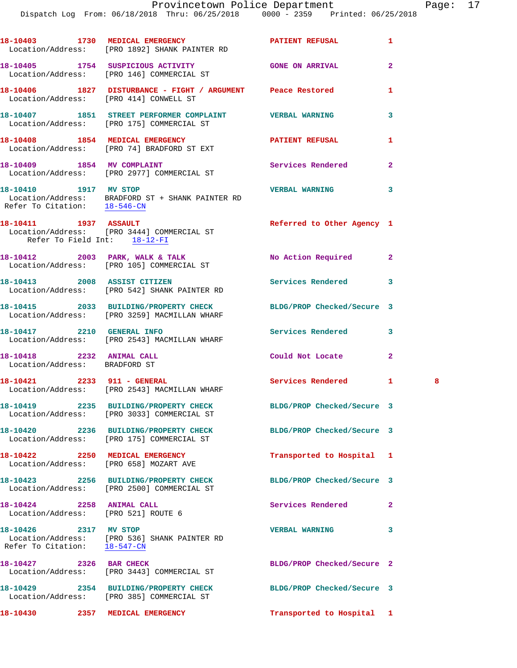| aae |  |
|-----|--|
|-----|--|

|                                                                  | 18-10403 1730 MEDICAL EMERGENCY PATIENT REFUSAL<br>Location/Address: [PRO 1892] SHANK PAINTER RD                 |                            | 1                   |  |
|------------------------------------------------------------------|------------------------------------------------------------------------------------------------------------------|----------------------------|---------------------|--|
|                                                                  | 18-10405 1754 SUSPICIOUS ACTIVITY<br>Location/Address: [PRO 146] COMMERCIAL ST                                   | <b>GONE ON ARRIVAL</b>     | $\mathbf{2}$        |  |
|                                                                  | 18-10406 1827 DISTURBANCE - FIGHT / ARGUMENT Peace Restored<br>Location/Address: [PRO 414] CONWELL ST            |                            | 1                   |  |
|                                                                  | 18-10407 1851 STREET PERFORMER COMPLAINT WERBAL WARNING<br>Location/Address: [PRO 175] COMMERCIAL ST             |                            | 3                   |  |
|                                                                  | 18-10408 1854 MEDICAL EMERGENCY<br>Location/Address: [PRO 74] BRADFORD ST EXT                                    | <b>PATIENT REFUSAL</b>     | 1                   |  |
|                                                                  | 18-10409 1854 MV COMPLAINT<br>Location/Address: [PRO 2977] COMMERCIAL ST                                         | <b>Services Rendered</b>   | $\overline{2}$      |  |
| 18-10410    1917 MV STOP                                         | Location/Address: BRADFORD ST + SHANK PAINTER RD<br>Refer To Citation: $\frac{18-546-CN}{18-546-CN}$             | <b>VERBAL WARNING</b>      | 3                   |  |
| 18-10411 1937 ASSAULT<br>Refer To Field Int: 18-12-FI            | Location/Address: [PRO 3444] COMMERCIAL ST                                                                       | Referred to Other Agency 1 |                     |  |
|                                                                  | 18-10412 2003 PARK, WALK & TALK<br>Location/Address: [PRO 105] COMMERCIAL ST                                     | No Action Required         | $\mathbf{2}$        |  |
|                                                                  | 18-10413 2008 ASSIST CITIZEN<br>Location/Address: [PRO 542] SHANK PAINTER RD                                     | Services Rendered          | 3                   |  |
|                                                                  | 18-10415 2033 BUILDING/PROPERTY CHECK BLDG/PROP Checked/Secure 3<br>Location/Address: [PRO 3259] MACMILLAN WHARF |                            |                     |  |
|                                                                  | 18-10417 2210 GENERAL INFO<br>Location/Address: [PRO 2543] MACMILLAN WHARF                                       | <b>Services Rendered</b>   | 3                   |  |
| 18-10418 2232 ANIMAL CALL<br>Location/Address: BRADFORD ST       |                                                                                                                  | Could Not Locate           | $\overline{a}$      |  |
|                                                                  | 18-10421 2233 911 - GENERAL<br>Location/Address: [PRO 2543] MACMILLAN WHARF                                      | Services Rendered          | $\mathbf{1}$<br>- 8 |  |
|                                                                  | 18-10419 2235 BUILDING/PROPERTY CHECK<br>Location/Address: [PRO 3033] COMMERCIAL ST                              | BLDG/PROP Checked/Secure 3 |                     |  |
|                                                                  | 18-10420 2236 BUILDING/PROPERTY CHECK<br>Location/Address: [PRO 175] COMMERCIAL ST                               | BLDG/PROP Checked/Secure 3 |                     |  |
| 18-10422 2250 MEDICAL EMERGENCY                                  | Location/Address: [PRO 658] MOZART AVE                                                                           | Transported to Hospital 1  |                     |  |
|                                                                  | 18-10423 2256 BUILDING/PROPERTY CHECK<br>Location/Address: [PRO 2500] COMMERCIAL ST                              | BLDG/PROP Checked/Secure 3 |                     |  |
| 18-10424 2258 ANIMAL CALL<br>Location/Address: [PRO 521] ROUTE 6 |                                                                                                                  | Services Rendered          | $\mathbf{2}$        |  |
| 18-10426 2317 MV STOP                                            | Location/Address: [PRO 536] SHANK PAINTER RD<br>Refer To Citation: $\frac{18-547-CM}{18-547-CM}$                 | <b>VERBAL WARNING</b>      | 3                   |  |
| 18-10427 2326 BAR CHECK                                          | Location/Address: [PRO 3443] COMMERCIAL ST                                                                       | BLDG/PROP Checked/Secure 2 |                     |  |
|                                                                  | 18-10429 2354 BUILDING/PROPERTY CHECK<br>Location/Address: [PRO 385] COMMERCIAL ST                               | BLDG/PROP Checked/Secure 3 |                     |  |
| 18-10430 2357 MEDICAL EMERGENCY                                  |                                                                                                                  | Transported to Hospital 1  |                     |  |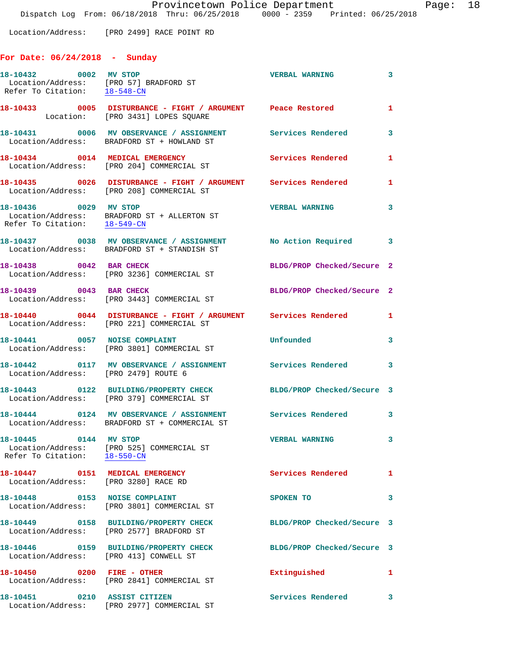Location/Address: [PRO 2499] RACE POINT RD

## **For Date: 06/24/2018 - Sunday**

| 18-10432 0002 MV STOP                                                   | Location/Address: [PRO 57] BRADFORD ST<br>Refer To Citation: $\frac{18-548-CN}{18-548-CN}$                    | <b>VERBAL WARNING</b>      | $\mathbf{3}$               |
|-------------------------------------------------------------------------|---------------------------------------------------------------------------------------------------------------|----------------------------|----------------------------|
|                                                                         |                                                                                                               |                            | 1                          |
|                                                                         | 18-10431 0006 MV OBSERVANCE / ASSIGNMENT Services Rendered<br>Location/Address: BRADFORD ST + HOWLAND ST      |                            | $\mathbf{3}$               |
|                                                                         | 18-10434 0014 MEDICAL EMERGENCY<br>Location/Address: [PRO 204] COMMERCIAL ST                                  | Services Rendered          | 1                          |
|                                                                         | 18-10435 0026 DISTURBANCE - FIGHT / ARGUMENT Services Rendered<br>Location/Address: [PRO 208] COMMERCIAL ST   |                            | 1                          |
| 18-10436 0029 MV STOP<br>Refer To Citation: 18-549-CN                   | Location/Address: BRADFORD ST + ALLERTON ST                                                                   | <b>VERBAL WARNING</b>      | 3                          |
|                                                                         | 18-10437 0038 MV OBSERVANCE / ASSIGNMENT<br>Location/Address: BRADFORD ST + STANDISH ST                       | No Action Required 3       |                            |
| 18-10438 0042 BAR CHECK                                                 | Location/Address: [PRO 3236] COMMERCIAL ST                                                                    | BLDG/PROP Checked/Secure 2 |                            |
| 18-10439 0043 BAR CHECK                                                 | Location/Address: [PRO 3443] COMMERCIAL ST                                                                    | BLDG/PROP Checked/Secure 2 |                            |
|                                                                         | 18-10440 0044 DISTURBANCE - FIGHT / ARGUMENT Services Rendered 1<br>Location/Address: [PRO 221] COMMERCIAL ST |                            |                            |
|                                                                         | 18-10441 0057 NOISE COMPLAINT<br>Location/Address: [PRO 3801] COMMERCIAL ST                                   | Unfounded                  | 3                          |
| Location/Address: [PRO 2479] ROUTE 6                                    | 18-10442 0117 MV OBSERVANCE / ASSIGNMENT Services Rendered                                                    |                            | $\overline{\phantom{a}}$ 3 |
|                                                                         | 18-10443 0122 BUILDING/PROPERTY CHECK<br>Location/Address: [PRO 379] COMMERCIAL ST                            | BLDG/PROP Checked/Secure 3 |                            |
|                                                                         | 18-10444 0124 MV OBSERVANCE / ASSIGNMENT Services Rendered 3<br>Location/Address: BRADFORD ST + COMMERCIAL ST |                            |                            |
| 18-10445 0144 MV STOP<br>Refer To Citation: 18-550-CN                   | Location/Address: [PRO 525] COMMERCIAL ST                                                                     | <b>VERBAL WARNING</b>      | $\overline{\mathbf{3}}$    |
| 18-10447 0151 MEDICAL EMERGENCY<br>Location/Address: [PRO 3280] RACE RD |                                                                                                               | <b>Services Rendered</b>   | $\mathbf{1}$               |
| 18-10448 0153 NOISE COMPLAINT                                           | Location/Address: [PRO 3801] COMMERCIAL ST                                                                    | SPOKEN TO                  | 3                          |
|                                                                         | 18-10449 0158 BUILDING/PROPERTY CHECK<br>Location/Address: [PRO 2577] BRADFORD ST                             | BLDG/PROP Checked/Secure 3 |                            |
| Location/Address: [PRO 413] CONWELL ST                                  |                                                                                                               | BLDG/PROP Checked/Secure 3 |                            |
| 18-10450 0200 FIRE - OTHER                                              | Location/Address: [PRO 2841] COMMERCIAL ST                                                                    | Extinguished               | 1                          |
| 18-10451 0210 ASSIST CITIZEN                                            | Location/Address: [PRO 2977] COMMERCIAL ST                                                                    | Services Rendered          | 3                          |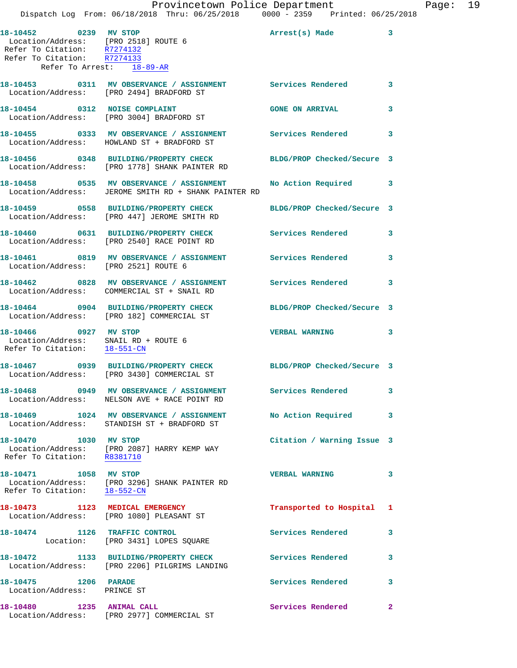|                                                                                               | Provincetown Police Department<br>Dispatch Log From: 06/18/2018 Thru: 06/25/2018 0000 - 2359 Printed: 06/25/2018 |                            |              |
|-----------------------------------------------------------------------------------------------|------------------------------------------------------------------------------------------------------------------|----------------------------|--------------|
|                                                                                               |                                                                                                                  |                            |              |
| Refer To Citation: R7274132<br>Refer To Citation: R7274133                                    | Eocation/Address: [PRO 2518] ROUTE 6<br>Refer To Gitation: [PRO 2518] ROUTE 6                                    |                            | 3            |
| Refer To Arrest: 18-89-AR                                                                     |                                                                                                                  |                            |              |
|                                                                                               | 18-10453 0311 MV OBSERVANCE / ASSIGNMENT Services Rendered<br>Location/Address: [PRO 2494] BRADFORD ST           |                            | 3            |
|                                                                                               | 18-10454 0312 NOISE COMPLAINT<br>Location/Address: [PRO 3004] BRADFORD ST                                        | <b>GONE ON ARRIVAL</b>     | 3            |
|                                                                                               | 18-10455  0333 MV OBSERVANCE / ASSIGNMENT  Services Rendered<br>Location/Address: HOWLAND ST + BRADFORD ST       |                            | 3            |
|                                                                                               | 18-10456 0348 BUILDING/PROPERTY CHECK<br>Location/Address: [PRO 1778] SHANK PAINTER RD                           | BLDG/PROP Checked/Secure 3 |              |
|                                                                                               | 18-10458 0535 MV OBSERVANCE / ASSIGNMENT<br>Location/Address: JEROME SMITH RD + SHANK PAINTER RD                 | No Action Required         | 3            |
|                                                                                               | 18-10459 0558 BUILDING/PROPERTY CHECK<br>Location/Address: [PRO 447] JEROME SMITH RD                             | BLDG/PROP Checked/Secure 3 |              |
|                                                                                               | 18-10460 0631 BUILDING/PROPERTY CHECK<br>Location/Address: [PRO 2540] RACE POINT RD                              | Services Rendered          | 3            |
| Location/Address: [PRO 2521] ROUTE 6                                                          | 18-10461 0819 MV OBSERVANCE / ASSIGNMENT Services Rendered                                                       |                            | 3            |
|                                                                                               | 18-10462 0828 MV OBSERVANCE / ASSIGNMENT Services Rendered<br>Location/Address: COMMERCIAL ST + SNAIL RD         |                            | 3            |
|                                                                                               | 18-10464 0904 BUILDING/PROPERTY CHECK<br>Location/Address: [PRO 182] COMMERCIAL ST                               | BLDG/PROP Checked/Secure 3 |              |
| 18-10466 0927 MV STOP<br>Location/Address: SNAIL RD + ROUTE 6<br>Refer To Citation: 18-551-CN |                                                                                                                  | <b>VERBAL WARNING</b>      | 3            |
|                                                                                               | 18-10467 0939 BUILDING/PROPERTY CHECK BLDG/PROP Checked/Secure 3<br>Location/Address: [PRO 3430] COMMERCIAL ST   |                            |              |
|                                                                                               | 18-10468 0949 MV OBSERVANCE / ASSIGNMENT Services Rendered<br>Location/Address: NELSON AVE + RACE POINT RD       |                            | 3            |
|                                                                                               | 18-10469 1024 MV OBSERVANCE / ASSIGNMENT No Action Required<br>Location/Address: STANDISH ST + BRADFORD ST       |                            | 3            |
| 18-10470 1030 MV STOP                                                                         | Location/Address: [PRO 2087] HARRY KEMP WAY<br>Refer To Citation: R8381710                                       | Citation / Warning Issue 3 |              |
| 18-10471 1058 MV STOP                                                                         | Location/Address: [PRO 3296] SHANK PAINTER RD<br>Refer To Citation: 18-552-CN                                    | <b>VERBAL WARNING</b>      | 3            |
|                                                                                               | 18-10473 1123 MEDICAL EMERGENCY<br>Location/Address: [PRO 1080] PLEASANT ST                                      | Transported to Hospital    | 1            |
|                                                                                               | 18-10474 1126 TRAFFIC CONTROL<br>Location: [PRO 3431] LOPES SQUARE                                               | Services Rendered          | 3            |
|                                                                                               | 18-10472 1133 BUILDING/PROPERTY CHECK<br>Location/Address: [PRO 2206] PILGRIMS LANDING                           | <b>Services Rendered</b>   | 3            |
| 18-10475 1206 PARADE<br>Location/Address: PRINCE ST                                           |                                                                                                                  | Services Rendered          | 3            |
| 18-10480 1235 ANIMAL CALL                                                                     | Location/Address: [PRO 2977] COMMERCIAL ST                                                                       | Services Rendered          | $\mathbf{2}$ |

Page: 19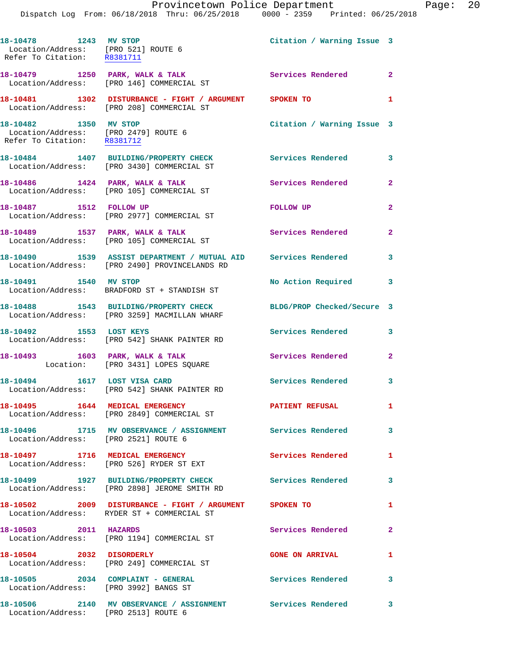|                                                                                                   | FIOVINCECOWN FOIICE DEPAIRMENT<br>Dispatch Log From: 06/18/2018 Thru: 06/25/2018 0000 - 2359 Printed: 06/25/2018 |                            |                |
|---------------------------------------------------------------------------------------------------|------------------------------------------------------------------------------------------------------------------|----------------------------|----------------|
| 18-10478    1243    MV STOP<br>Location/Address: [PRO 521] ROUTE 6<br>Refer To Citation: R8381711 |                                                                                                                  | Citation / Warning Issue 3 |                |
|                                                                                                   | 18-10479 1250 PARK, WALK & TALK<br>Location/Address: [PRO 146] COMMERCIAL ST                                     | Services Rendered          | $\overline{2}$ |
|                                                                                                   | 18-10481 1302 DISTURBANCE - FIGHT / ARGUMENT SPOKEN TO<br>Location/Address: [PRO 208] COMMERCIAL ST              |                            | $\mathbf{1}$   |
| 18-10482 1350 MV STOP                                                                             | Location/Address: [PRO 2479] ROUTE 6<br>Refer To Citation: R8381712                                              | Citation / Warning Issue 3 |                |
|                                                                                                   | 18-10484 1407 BUILDING/PROPERTY CHECK<br>Location/Address: [PRO 3430] COMMERCIAL ST                              | Services Rendered          | 3              |
|                                                                                                   | 18-10486 1424 PARK, WALK & TALK<br>Location/Address: [PRO 105] COMMERCIAL ST                                     | Services Rendered          | 2              |
| 18-10487 1512 FOLLOW UP                                                                           | Location/Address: [PRO 2977] COMMERCIAL ST                                                                       | FOLLOW UP                  | $\overline{a}$ |
|                                                                                                   | 18-10489 1537 PARK, WALK & TALK<br>Location/Address: [PRO 105] COMMERCIAL ST                                     | Services Rendered          | $\mathbf{2}$   |
|                                                                                                   | 18-10490 1539 ASSIST DEPARTMENT / MUTUAL AID Services Rendered<br>Location/Address: [PRO 2490] PROVINCELANDS RD  |                            | 3              |
| 18-10491 1540 MV STOP                                                                             | Location/Address: BRADFORD ST + STANDISH ST                                                                      | No Action Required         | 3              |
|                                                                                                   | 18-10488 1543 BUILDING/PROPERTY CHECK<br>Location/Address: [PRO 3259] MACMILLAN WHARF                            | BLDG/PROP Checked/Secure 3 |                |
|                                                                                                   | 18-10492 1553 LOST KEYS<br>Location/Address: [PRO 542] SHANK PAINTER RD                                          | Services Rendered          | 3              |
| 18-10493 1603 PARK, WALK & TALK                                                                   | Location: [PRO 3431] LOPES SQUARE                                                                                | Services Rendered          | $\overline{2}$ |
| 18-10494 1617 LOST VISA CARD                                                                      | Location/Address: [PRO 542] SHANK PAINTER RD                                                                     | <b>Services Rendered</b>   | 3              |
|                                                                                                   | Location/Address: [PRO 2849] COMMERCIAL ST                                                                       | <b>PATIENT REFUSAL</b>     | 1              |
| Location/Address: [PRO 2521] ROUTE 6                                                              | 18-10496 1715 MV OBSERVANCE / ASSIGNMENT Services Rendered                                                       |                            | 3              |
|                                                                                                   | 18-10497 1716 MEDICAL EMERGENCY<br>Location/Address: [PRO 526] RYDER ST EXT                                      | Services Rendered          | 1              |
|                                                                                                   | 18-10499 1927 BUILDING/PROPERTY CHECK Services Rendered<br>Location/Address: [PRO 2898] JEROME SMITH RD          |                            | 3              |
|                                                                                                   | 18-10502 2009 DISTURBANCE - FIGHT / ARGUMENT SPOKEN TO<br>Location/Address: RYDER ST + COMMERCIAL ST             |                            | 1              |
| 18-10503 2011 HAZARDS                                                                             | Location/Address: [PRO 1194] COMMERCIAL ST                                                                       | Services Rendered          | $\overline{2}$ |
| 18-10504 2032 DISORDERLY                                                                          | Location/Address: [PRO 249] COMMERCIAL ST                                                                        | <b>GONE ON ARRIVAL</b>     | 1              |
| Location/Address: [PRO 3992] BANGS ST                                                             | 18-10505 2034 COMPLAINT - GENERAL                                                                                | <b>Services Rendered</b>   | 3              |
|                                                                                                   |                                                                                                                  |                            | 3              |

Location/Address: [PRO 2513] ROUTE 6

Provincetown Police Department Page: 20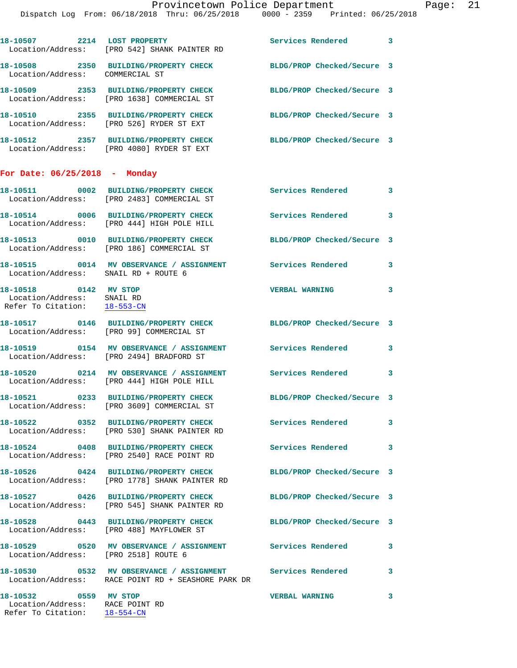|                                                                                          | 18-10507 2214 LOST PROPERTY<br>Location/Address: [PRO 542] SHANK PAINTER RD                                        | Services Rendered 3                  |                            |
|------------------------------------------------------------------------------------------|--------------------------------------------------------------------------------------------------------------------|--------------------------------------|----------------------------|
| Location/Address: COMMERCIAL ST                                                          | 18-10508 2350 BUILDING/PROPERTY CHECK                                                                              | BLDG/PROP Checked/Secure 3           |                            |
|                                                                                          | 18-10509 2353 BUILDING/PROPERTY CHECK<br>Location/Address: [PRO 1638] COMMERCIAL ST                                | BLDG/PROP Checked/Secure 3           |                            |
|                                                                                          | 18-10510 2355 BUILDING/PROPERTY CHECK<br>Location/Address: [PRO 526] RYDER ST EXT                                  | BLDG/PROP Checked/Secure 3           |                            |
|                                                                                          | 18-10512 2357 BUILDING/PROPERTY CHECK<br>Location/Address: [PRO 4080] RYDER ST EXT                                 | BLDG/PROP Checked/Secure 3           |                            |
| For Date: $06/25/2018$ - Monday                                                          |                                                                                                                    |                                      |                            |
|                                                                                          | 18-10511 0002 BUILDING/PROPERTY CHECK<br>Location/Address: [PRO 2483] COMMERCIAL ST                                | Services Rendered                    | $\overline{\mathbf{3}}$    |
|                                                                                          | 18-10514 0006 BUILDING/PROPERTY CHECK<br>Location/Address: [PRO 444] HIGH POLE HILL                                | <b>Services Rendered</b>             | $\overline{\phantom{a}}$ 3 |
|                                                                                          | 18-10513 0010 BUILDING/PROPERTY CHECK<br>Location/Address: [PRO 186] COMMERCIAL ST                                 | BLDG/PROP Checked/Secure 3           |                            |
| Location/Address: SNAIL RD + ROUTE 6                                                     | 18-10515 0014 MV OBSERVANCE / ASSIGNMENT                                                                           | <b>Services Rendered</b><br>$\sim$ 3 |                            |
| 18-10518 0142 MV STOP<br>Location/Address: SNAIL RD<br>Refer To Citation: 18-553-CN      |                                                                                                                    | <b>VERBAL WARNING</b>                | 3                          |
|                                                                                          | 18-10517 0146 BUILDING/PROPERTY CHECK<br>Location/Address: [PRO 99] COMMERCIAL ST                                  | BLDG/PROP Checked/Secure 3           |                            |
|                                                                                          | 18-10519 0154 MV OBSERVANCE / ASSIGNMENT<br>Location/Address: [PRO 2494] BRADFORD ST                               | Services Rendered                    | 3                          |
|                                                                                          | 18-10520 0214 MV OBSERVANCE / ASSIGNMENT<br>Location/Address: [PRO 444] HIGH POLE HILL                             | Services Rendered                    | 3                          |
|                                                                                          | 18-10521 0233 BUILDING/PROPERTY CHECK<br>Location/Address: [PRO 3609] COMMERCIAL ST                                | BLDG/PROP Checked/Secure 3           |                            |
|                                                                                          | 18-10522 0352 BUILDING/PROPERTY CHECK<br>Location/Address: [PRO 530] SHANK PAINTER RD                              | <b>Services Rendered</b>             | $\mathbf{3}$               |
|                                                                                          | 18-10524 0408 BUILDING/PROPERTY CHECK<br>Location/Address: [PRO 2540] RACE POINT RD                                | <b>Services Rendered</b>             | 3                          |
|                                                                                          | 18-10526 0424 BUILDING/PROPERTY CHECK<br>Location/Address: [PRO 1778] SHANK PAINTER RD                             | BLDG/PROP Checked/Secure 3           |                            |
|                                                                                          | 18-10527 0426 BUILDING/PROPERTY CHECK<br>Location/Address: [PRO 545] SHANK PAINTER RD                              | BLDG/PROP Checked/Secure 3           |                            |
|                                                                                          | 18-10528 0443 BUILDING/PROPERTY CHECK<br>Location/Address: [PRO 488] MAYFLOWER ST                                  | BLDG/PROP Checked/Secure 3           |                            |
| Location/Address: [PRO 2518] ROUTE 6                                                     | 18-10529 0520 MV OBSERVANCE / ASSIGNMENT Services Rendered                                                         |                                      | 3                          |
|                                                                                          | 18-10530 0532 MV OBSERVANCE / ASSIGNMENT Services Rendered 3<br>Location/Address: RACE POINT RD + SEASHORE PARK DR |                                      |                            |
| 18-10532 0559 MV STOP<br>Location/Address: RACE POINT RD<br>Refer To Citation: 18-554-CN |                                                                                                                    | <b>VERBAL WARNING</b>                | 3                          |
|                                                                                          |                                                                                                                    |                                      |                            |
|                                                                                          |                                                                                                                    |                                      |                            |